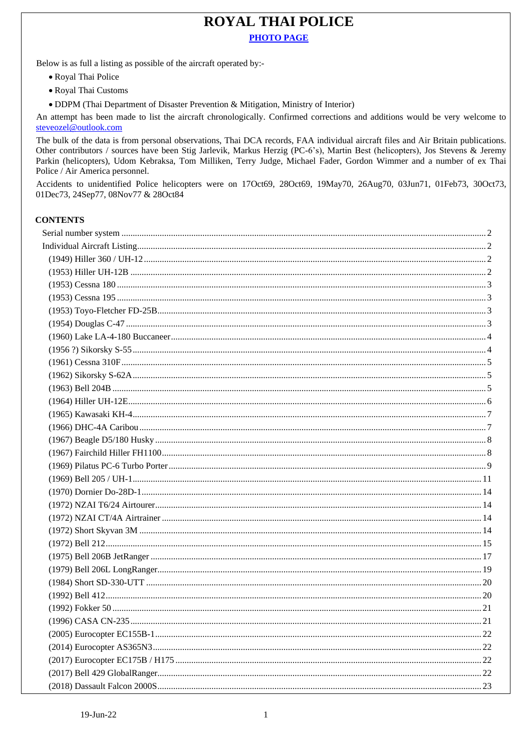## **ROYAL THAI POLICE PHOTO PAGE**

Below is as full a listing as possible of the aircraft operated by:-

- Royal Thai Police
- · Royal Thai Customs
- DDPM (Thai Department of Disaster Prevention & Mitigation, Ministry of Interior)

An attempt has been made to list the aircraft chronologically. Confirmed corrections and additions would be very welcome to steveozel@outlook.com

The bulk of the data is from personal observations, Thai DCA records, FAA individual aircraft files and Air Britain publications. Other contributors / sources have been Stig Jarlevik, Markus Herzig (PC-6's), Martin Best (helicopters), Jos Stevens & Jeremy Parkin (helicopters), Udom Kebraksa, Tom Milliken, Terry Judge, Michael Fader, Gordon Wimmer and a number of ex Thai Police / Air America personnel.

Accidents to unidentified Police helicopters were on 17Oct69, 28Oct69, 19May70, 26Aug70, 03Jun71, 01Feb73, 30Oct73, 01Dec73, 24Sep77, 08Nov77 & 28Oct84

## **CONTENTS**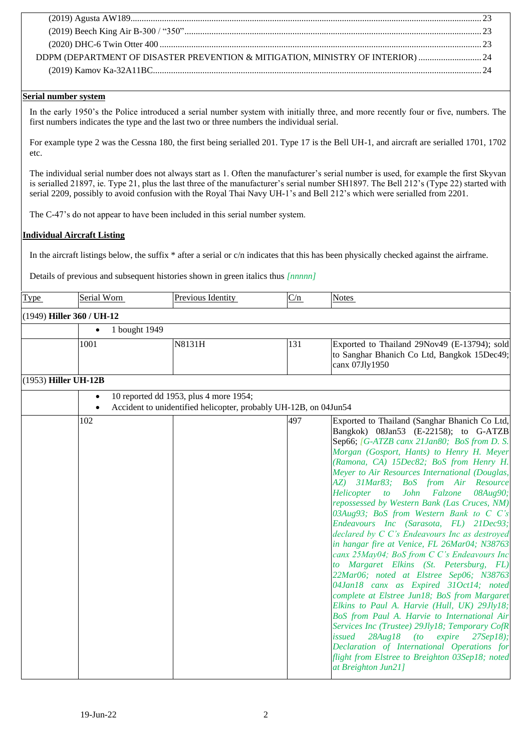| DDPM (DEPARTMENT OF DISASTER PREVENTION & MITIGATION, MINISTRY OF INTERIOR)  24 |  |
|---------------------------------------------------------------------------------|--|
|                                                                                 |  |
|                                                                                 |  |

## <span id="page-1-0"></span>**Serial number system**

In the early 1950's the Police introduced a serial number system with initially three, and more recently four or five, numbers. The first numbers indicates the type and the last two or three numbers the individual serial.

For example type 2 was the Cessna 180, the first being serialled 201. Type 17 is the Bell UH-1, and aircraft are serialled 1701, 1702 etc.

The individual serial number does not always start as 1. Often the manufacturer's serial number is used, for example the first Skyvan is serialled 21897, ie. Type 21, plus the last three of the manufacturer's serial number SH1897. The Bell 212's (Type 22) started with serial 2209, possibly to avoid confusion with the Royal Thai Navy UH-1's and Bell 212's which were serialled from 2201.

The C-47's do not appear to have been included in this serial number system.

## <span id="page-1-1"></span>**Individual Aircraft Listing**

In the aircraft listings below, the suffix \* after a serial or c/n indicates that this has been physically checked against the airframe.

Details of previous and subsequent histories shown in green italics thus *[nnnnn]*

<span id="page-1-3"></span><span id="page-1-2"></span>

| <b>Type</b> | Serial Worn                 | Previous Identity                                                                                          | C/n | <b>Notes</b>                                                                                                                                                                                                                                                                                                                                                                                                                                                                                                                                                                                                                                                                                                                                                                                                                                                                                                                                                                                                                                                                                                                                                          |
|-------------|-----------------------------|------------------------------------------------------------------------------------------------------------|-----|-----------------------------------------------------------------------------------------------------------------------------------------------------------------------------------------------------------------------------------------------------------------------------------------------------------------------------------------------------------------------------------------------------------------------------------------------------------------------------------------------------------------------------------------------------------------------------------------------------------------------------------------------------------------------------------------------------------------------------------------------------------------------------------------------------------------------------------------------------------------------------------------------------------------------------------------------------------------------------------------------------------------------------------------------------------------------------------------------------------------------------------------------------------------------|
|             | $(1949)$ Hiller 360 / UH-12 |                                                                                                            |     |                                                                                                                                                                                                                                                                                                                                                                                                                                                                                                                                                                                                                                                                                                                                                                                                                                                                                                                                                                                                                                                                                                                                                                       |
|             | $\bullet$                   |                                                                                                            |     |                                                                                                                                                                                                                                                                                                                                                                                                                                                                                                                                                                                                                                                                                                                                                                                                                                                                                                                                                                                                                                                                                                                                                                       |
|             | 1 bought 1949               |                                                                                                            |     |                                                                                                                                                                                                                                                                                                                                                                                                                                                                                                                                                                                                                                                                                                                                                                                                                                                                                                                                                                                                                                                                                                                                                                       |
|             | 1001                        | N8131H                                                                                                     | 131 | Exported to Thailand 29Nov49 (E-13794); sold<br>to Sanghar Bhanich Co Ltd, Bangkok 15Dec49;<br>canx 07Jly1950                                                                                                                                                                                                                                                                                                                                                                                                                                                                                                                                                                                                                                                                                                                                                                                                                                                                                                                                                                                                                                                         |
|             | $(1953)$ Hiller UH-12B      |                                                                                                            |     |                                                                                                                                                                                                                                                                                                                                                                                                                                                                                                                                                                                                                                                                                                                                                                                                                                                                                                                                                                                                                                                                                                                                                                       |
|             |                             | 10 reported dd 1953, plus 4 more 1954;<br>Accident to unidentified helicopter, probably UH-12B, on 04Jun54 |     |                                                                                                                                                                                                                                                                                                                                                                                                                                                                                                                                                                                                                                                                                                                                                                                                                                                                                                                                                                                                                                                                                                                                                                       |
|             | 102                         |                                                                                                            | 497 | Exported to Thailand (Sanghar Bhanich Co Ltd,<br>Bangkok) 08Jan53 (E-22158); to G-ATZB<br>Sep66; [G-ATZB canx 21Jan80; BoS from D. S.<br>Morgan (Gosport, Hants) to Henry H. Meyer<br>(Ramona, CA) 15Dec82; BoS from Henry H.<br>Meyer to Air Resources International (Douglas,<br>AZ) 31Mar83; BoS from Air Resource<br>John Falzone<br>08Aug90;<br>Helicopter to<br>repossessed by Western Bank (Las Cruces, NM)<br>03Aug93; BoS from Western Bank to C C's<br>Endeavours Inc (Sarasota, FL) 21Dec93;<br>declared by C C's Endeavours Inc as destroyed<br>in hangar fire at Venice, FL 26Mar04; N38763<br>canx 25May04; BoS from C C's Endeavours Inc<br>to Margaret Elkins (St. Petersburg, FL)<br>22Mar06; noted at Elstree Sep06; N38763<br>04Jan18 canx as Expired 31Oct14; noted<br>complete at Elstree Jun18; BoS from Margaret<br>Elkins to Paul A. Harvie (Hull, UK) 29Jly18;<br>BoS from Paul A. Harvie to International Air<br>Services Inc (Trustee) 29Jly18; Temporary CofR<br>issued<br>28Aug18<br>(to<br>expire<br>27 Sep18;<br>Declaration of International Operations for<br>flight from Elstree to Breighton 03Sep18; noted<br>at Breighton Jun21] |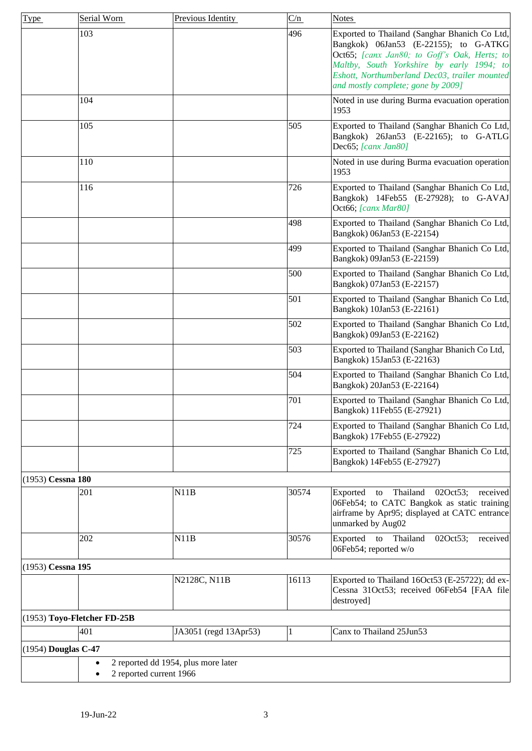<span id="page-2-3"></span><span id="page-2-2"></span><span id="page-2-1"></span><span id="page-2-0"></span>

| Type              | Serial Worn                 | Previous Identity                                              | C/n   | <b>Notes</b>                                                                                                                                                                                                                                                               |
|-------------------|-----------------------------|----------------------------------------------------------------|-------|----------------------------------------------------------------------------------------------------------------------------------------------------------------------------------------------------------------------------------------------------------------------------|
|                   | 103                         |                                                                | 496   | Exported to Thailand (Sanghar Bhanich Co Ltd,<br>Bangkok) 06Jan53 (E-22155); to G-ATKG<br>Oct65; [canx Jan80; to Goff's Oak, Herts; to<br>Maltby, South Yorkshire by early 1994; to<br>Eshott, Northumberland Dec03, trailer mounted<br>and mostly complete; gone by 2009] |
|                   | 104                         |                                                                |       | Noted in use during Burma evacuation operation<br>1953                                                                                                                                                                                                                     |
|                   | 105                         |                                                                | 505   | Exported to Thailand (Sanghar Bhanich Co Ltd,<br>Bangkok) 26Jan53 (E-22165); to G-ATLG<br>Dec65; [canx Jan80]                                                                                                                                                              |
|                   | 110                         |                                                                |       | Noted in use during Burma evacuation operation<br>1953                                                                                                                                                                                                                     |
|                   | 116                         |                                                                | 726   | Exported to Thailand (Sanghar Bhanich Co Ltd,<br>Bangkok) 14Feb55 (E-27928); to G-AVAJ<br>Oct66; [canx Mar80]                                                                                                                                                              |
|                   |                             |                                                                | 498   | Exported to Thailand (Sanghar Bhanich Co Ltd,<br>Bangkok) 06Jan53 (E-22154)                                                                                                                                                                                                |
|                   |                             |                                                                | 499   | Exported to Thailand (Sanghar Bhanich Co Ltd,<br>Bangkok) 09Jan53 (E-22159)                                                                                                                                                                                                |
|                   |                             |                                                                | 500   | Exported to Thailand (Sanghar Bhanich Co Ltd,<br>Bangkok) 07Jan53 (E-22157)                                                                                                                                                                                                |
|                   |                             |                                                                | 501   | Exported to Thailand (Sanghar Bhanich Co Ltd,<br>Bangkok) 10Jan53 (E-22161)                                                                                                                                                                                                |
|                   |                             |                                                                | 502   | Exported to Thailand (Sanghar Bhanich Co Ltd,<br>Bangkok) 09Jan53 (E-22162)                                                                                                                                                                                                |
|                   |                             |                                                                | 503   | Exported to Thailand (Sanghar Bhanich Co Ltd,<br>Bangkok) 15Jan53 (E-22163)                                                                                                                                                                                                |
|                   |                             |                                                                | 504   | Exported to Thailand (Sanghar Bhanich Co Ltd,<br>Bangkok) 20Jan53 (E-22164)                                                                                                                                                                                                |
|                   |                             |                                                                | 701   | Exported to Thailand (Sanghar Bhanich Co Ltd,<br>Bangkok) 11Feb55 (E-27921)                                                                                                                                                                                                |
|                   |                             |                                                                | 724   | Exported to Thailand (Sanghar Bhanich Co Ltd,<br>Bangkok) 17Feb55 (E-27922)                                                                                                                                                                                                |
|                   |                             |                                                                | 725   | Exported to Thailand (Sanghar Bhanich Co Ltd,<br>Bangkok) 14Feb55 (E-27927)                                                                                                                                                                                                |
| (1953) Cessna 180 |                             |                                                                |       |                                                                                                                                                                                                                                                                            |
|                   | 201                         | N11B                                                           | 30574 | Exported<br>Thailand<br>02Oct53;<br>received<br>to<br>06Feb54; to CATC Bangkok as static training<br>airframe by Apr95; displayed at CATC entrance<br>unmarked by Aug02                                                                                                    |
|                   | 202                         | N11B                                                           | 30576 | Thailand<br>Exported<br>to<br>02Oct53;<br>received<br>06Feb54; reported w/o                                                                                                                                                                                                |
| (1953) Cessna 195 |                             |                                                                |       |                                                                                                                                                                                                                                                                            |
|                   |                             | N2128C, N11B                                                   | 16113 | Exported to Thailand 16Oct53 (E-25722); dd ex-<br>Cessna 31Oct53; received 06Feb54 [FAA file]<br>destroyed]                                                                                                                                                                |
|                   | (1953) Toyo-Fletcher FD-25B |                                                                |       |                                                                                                                                                                                                                                                                            |
|                   | 401                         | JA3051 (regd 13Apr53)                                          | 1     | Canx to Thailand 25Jun53                                                                                                                                                                                                                                                   |
|                   | (1954) Douglas C-47         |                                                                |       |                                                                                                                                                                                                                                                                            |
|                   |                             | 2 reported dd 1954, plus more later<br>2 reported current 1966 |       |                                                                                                                                                                                                                                                                            |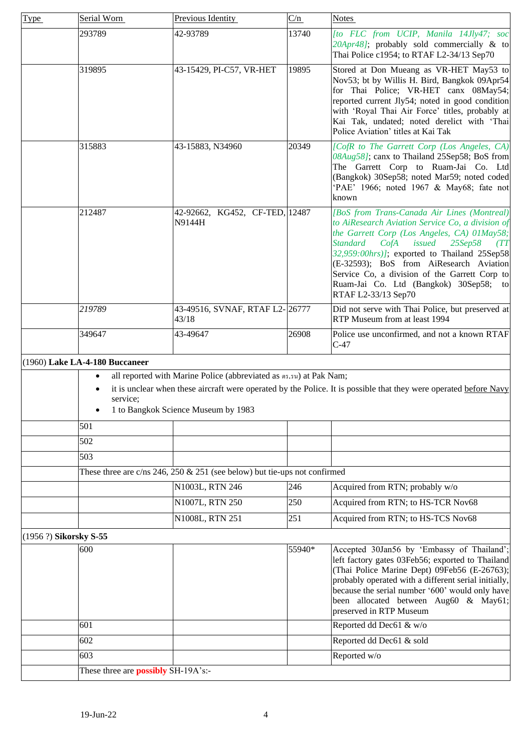<span id="page-3-1"></span><span id="page-3-0"></span>

| <b>Type</b> | Serial Worn                                | Previous Identity                                                            | C/n    | <b>Notes</b>                                                                                                                                                                                                                                                                                                                                                                                                              |
|-------------|--------------------------------------------|------------------------------------------------------------------------------|--------|---------------------------------------------------------------------------------------------------------------------------------------------------------------------------------------------------------------------------------------------------------------------------------------------------------------------------------------------------------------------------------------------------------------------------|
|             | 293789                                     | 42-93789                                                                     | 13740  | [to FLC from UCIP, Manila 14Jly47; soc<br>20Apr48]; probably sold commercially & to<br>Thai Police c1954; to RTAF L2-34/13 Sep70                                                                                                                                                                                                                                                                                          |
|             | 319895                                     | 43-15429, PI-C57, VR-HET                                                     | 19895  | Stored at Don Mueang as VR-HET May53 to<br>Nov53; bt by Willis H. Bird, Bangkok 09Apr54<br>for Thai Police; VR-HET canx 08May54;<br>reported current Jly54; noted in good condition<br>with 'Royal Thai Air Force' titles, probably at<br>Kai Tak, undated; noted derelict with 'Thai<br>Police Aviation' titles at Kai Tak                                                                                               |
|             | 315883                                     | 43-15883, N34960                                                             | 20349  | [CofR to The Garrett Corp (Los Angeles, CA)<br>08Aug58]; canx to Thailand 25Sep58; BoS from<br>The Garrett Corp to Ruam-Jai Co. Ltd<br>(Bangkok) 30Sep58; noted Mar59; noted coded<br>'PAE' 1966; noted 1967 & May68; fate not<br>known                                                                                                                                                                                   |
|             | 212487                                     | 42-92662, KG452, CF-TED, 12487<br>N9144H                                     |        | [BoS from Trans-Canada Air Lines (Montreal)<br>to AiResearch Aviation Service Co, a division of<br>the Garrett Corp (Los Angeles, CA) 01May58;<br><b>Standard</b><br>$25$ Sep $58$<br>CofA<br>issued<br>(TT)<br>32,959:00hrs)]; exported to Thailand 25Sep58<br>(E-32593); BoS from AiResearch Aviation<br>Service Co, a division of the Garrett Corp to<br>Ruam-Jai Co. Ltd (Bangkok) 30Sep58; to<br>RTAF L2-33/13 Sep70 |
|             | 219789                                     | 43-49516, SVNAF, RTAF L2-26777<br>43/18                                      |        | Did not serve with Thai Police, but preserved at<br>RTP Museum from at least 1994                                                                                                                                                                                                                                                                                                                                         |
|             | 349647                                     | 43-49647                                                                     | 26908  | Police use unconfirmed, and not a known RTAF<br>$C-47$                                                                                                                                                                                                                                                                                                                                                                    |
|             | (1960) Lake LA-4-180 Buccaneer             |                                                                              |        |                                                                                                                                                                                                                                                                                                                                                                                                                           |
|             |                                            | all reported with Marine Police (abbreviated as $n5.5\mu$ ) at Pak Nam;      |        |                                                                                                                                                                                                                                                                                                                                                                                                                           |
|             | service;                                   | 1 to Bangkok Science Museum by 1983                                          |        | it is unclear when these aircraft were operated by the Police. It is possible that they were operated before Navy                                                                                                                                                                                                                                                                                                         |
|             | 501                                        |                                                                              |        |                                                                                                                                                                                                                                                                                                                                                                                                                           |
|             | 502                                        |                                                                              |        |                                                                                                                                                                                                                                                                                                                                                                                                                           |
|             | 503                                        |                                                                              |        |                                                                                                                                                                                                                                                                                                                                                                                                                           |
|             |                                            | These three are $c$ /ns 246, 250 & 251 (see below) but tie-ups not confirmed |        |                                                                                                                                                                                                                                                                                                                                                                                                                           |
|             |                                            | N1003L, RTN 246                                                              | 246    | Acquired from RTN; probably w/o                                                                                                                                                                                                                                                                                                                                                                                           |
|             |                                            | N1007L, RTN 250                                                              | 250    | Acquired from RTN; to HS-TCR Nov68                                                                                                                                                                                                                                                                                                                                                                                        |
|             |                                            | N1008L, RTN 251                                                              | 251    | Acquired from RTN; to HS-TCS Nov68                                                                                                                                                                                                                                                                                                                                                                                        |
|             |                                            |                                                                              |        |                                                                                                                                                                                                                                                                                                                                                                                                                           |
|             | (1956 ?) Sikorsky S-55                     |                                                                              |        |                                                                                                                                                                                                                                                                                                                                                                                                                           |
|             | 600                                        |                                                                              | 55940* | Accepted 30Jan56 by 'Embassy of Thailand';<br>left factory gates 03Feb56; exported to Thailand<br>(Thai Police Marine Dept) 09Feb56 (E-26763);<br>probably operated with a different serial initially,<br>because the serial number '600' would only have<br>been allocated between Aug60 & May61;<br>preserved in RTP Museum                                                                                             |
|             | 601                                        |                                                                              |        | Reported dd Dec61 & w/o                                                                                                                                                                                                                                                                                                                                                                                                   |
|             | 602                                        |                                                                              |        | Reported dd Dec61 & sold                                                                                                                                                                                                                                                                                                                                                                                                  |
|             | 603                                        |                                                                              |        | Reported w/o                                                                                                                                                                                                                                                                                                                                                                                                              |
|             | These three are <b>possibly</b> SH-19A's:- |                                                                              |        |                                                                                                                                                                                                                                                                                                                                                                                                                           |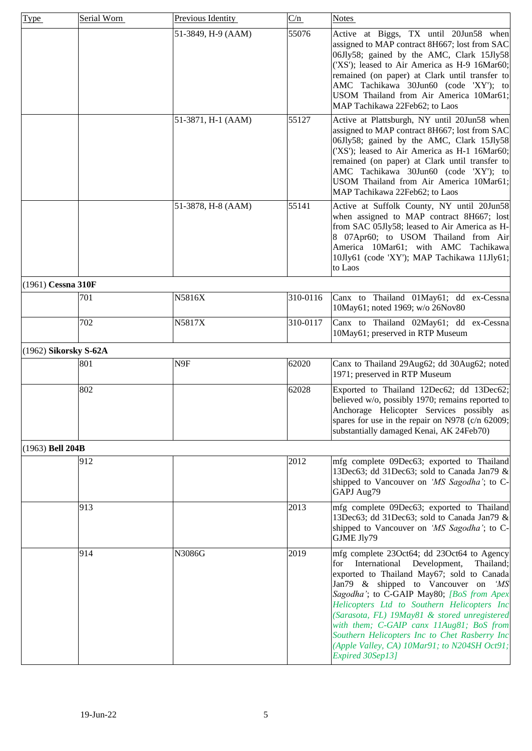<span id="page-4-2"></span><span id="page-4-1"></span><span id="page-4-0"></span>

| Type                 | Serial Worn             | Previous Identity  | C/n      | Notes                                                                                                                                                                                                                                                                                                                                                                                                                                                                                                |
|----------------------|-------------------------|--------------------|----------|------------------------------------------------------------------------------------------------------------------------------------------------------------------------------------------------------------------------------------------------------------------------------------------------------------------------------------------------------------------------------------------------------------------------------------------------------------------------------------------------------|
|                      |                         | 51-3849, H-9 (AAM) | 55076    | Active at Biggs, TX until 20Jun58 when<br>assigned to MAP contract 8H667; lost from SAC<br>06Jly58; gained by the AMC, Clark 15Jly58<br>('XS'); leased to Air America as H-9 16Mar60;<br>remained (on paper) at Clark until transfer to<br>AMC Tachikawa 30Jun60 (code 'XY'); to<br>USOM Thailand from Air America 10Mar61;<br>MAP Tachikawa 22Feb62; to Laos                                                                                                                                        |
|                      |                         | 51-3871, H-1 (AAM) | 55127    | Active at Plattsburgh, NY until 20Jun58 when<br>assigned to MAP contract 8H667; lost from SAC<br>06Jly58; gained by the AMC, Clark 15Jly58<br>('XS'); leased to Air America as H-1 16Mar60;<br>remained (on paper) at Clark until transfer to<br>AMC Tachikawa 30Jun60 (code 'XY'); to<br>USOM Thailand from Air America 10Mar61;<br>MAP Tachikawa 22Feb62; to Laos                                                                                                                                  |
|                      |                         | 51-3878, H-8 (AAM) | 55141    | Active at Suffolk County, NY until 20Jun58<br>when assigned to MAP contract 8H667; lost<br>from SAC 05Jly58; leased to Air America as H-<br>8 07Apr60; to USOM Thailand from Air<br>America 10Mar61; with AMC Tachikawa<br>10Jly61 (code 'XY'); MAP Tachikawa 11Jly61;<br>to Laos                                                                                                                                                                                                                    |
| $(1961)$ Cessna 310F |                         |                    |          |                                                                                                                                                                                                                                                                                                                                                                                                                                                                                                      |
|                      | 701                     | N5816X             | 310-0116 | Canx to Thailand 01May61; dd ex-Cessna<br>10May61; noted 1969; w/o 26Nov80                                                                                                                                                                                                                                                                                                                                                                                                                           |
|                      | 702                     | N5817X             | 310-0117 | Canx to Thailand 02May61; dd ex-Cessna<br>10May61; preserved in RTP Museum                                                                                                                                                                                                                                                                                                                                                                                                                           |
|                      | $(1962)$ Sikorsky S-62A |                    |          |                                                                                                                                                                                                                                                                                                                                                                                                                                                                                                      |
|                      | 801                     | N9F                | 62020    | Canx to Thailand 29Aug62; dd 30Aug62; noted<br>1971; preserved in RTP Museum                                                                                                                                                                                                                                                                                                                                                                                                                         |
|                      | 802                     |                    | 62028    | Exported to Thailand 12Dec62; dd 13Dec62;<br>believed w/o, possibly 1970; remains reported to<br>Anchorage Helicopter Services possibly as<br>spares for use in the repair on N978 (c/n 62009;<br>substantially damaged Kenai, AK 24Feb70)                                                                                                                                                                                                                                                           |
| (1963) Bell 204B     |                         |                    |          |                                                                                                                                                                                                                                                                                                                                                                                                                                                                                                      |
|                      | 912                     |                    | 2012     | mfg complete 09Dec63; exported to Thailand<br>13Dec63; dd 31Dec63; sold to Canada Jan79 &<br>shipped to Vancouver on 'MS Sagodha'; to C-<br>GAPJ Aug79                                                                                                                                                                                                                                                                                                                                               |
|                      | 913                     |                    | 2013     | mfg complete 09Dec63; exported to Thailand<br>13Dec63; dd 31Dec63; sold to Canada Jan79 &<br>shipped to Vancouver on 'MS Sagodha'; to C-<br>GJME Jly79                                                                                                                                                                                                                                                                                                                                               |
|                      | 914                     | N3086G             | 2019     | mfg complete 23Oct64; dd 23Oct64 to Agency<br>International<br>Development,<br>for<br>Thailand;<br>exported to Thailand May67; sold to Canada<br>Jan79 & shipped to Vancouver on<br>ʻMS<br>Sagodha'; to C-GAIP May80; [BoS from Apex<br>Helicopters Ltd to Southern Helicopters Inc<br>(Sarasota, FL) 19May81 & stored unregistered<br>with them; C-GAIP canx 11Aug81; BoS from<br>Southern Helicopters Inc to Chet Rasberry Inc<br>(Apple Valley, CA) 10Mar91; to N204SH Oct91;<br>Expired 30Sep13] |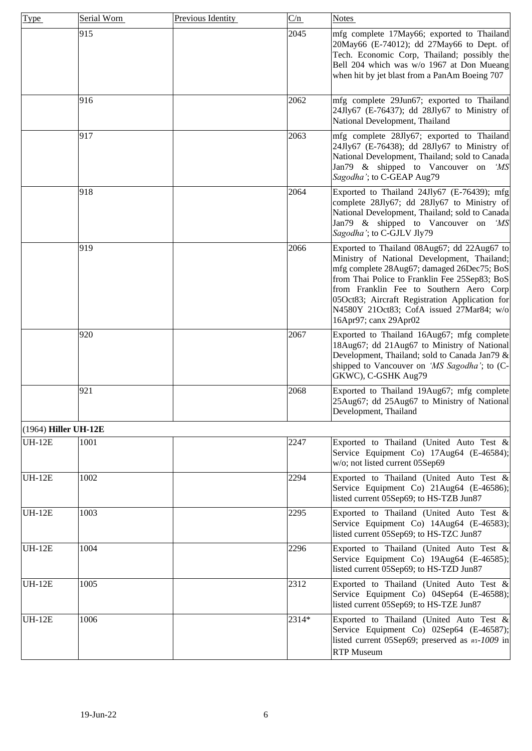<span id="page-5-0"></span>

| Type                   | Serial Worn | Previous Identity | C/n   | <b>Notes</b>                                                                                                                                                                                                                                                                                                                                                |
|------------------------|-------------|-------------------|-------|-------------------------------------------------------------------------------------------------------------------------------------------------------------------------------------------------------------------------------------------------------------------------------------------------------------------------------------------------------------|
|                        | 915         |                   | 2045  | mfg complete 17May66; exported to Thailand<br>20May66 (E-74012); dd 27May66 to Dept. of<br>Tech. Economic Corp, Thailand; possibly the<br>Bell 204 which was w/o 1967 at Don Mueang<br>when hit by jet blast from a PanAm Boeing 707                                                                                                                        |
|                        | 916         |                   | 2062  | mfg complete 29Jun67; exported to Thailand<br>24Jly67 (E-76437); dd 28Jly67 to Ministry of<br>National Development, Thailand                                                                                                                                                                                                                                |
|                        | 917         |                   | 2063  | mfg complete 28Jly67; exported to Thailand<br>24Jly67 (E-76438); dd 28Jly67 to Ministry of<br>National Development, Thailand; sold to Canada<br>Jan79 & shipped to Vancouver on 'MS<br>Sagodha'; to C-GEAP Aug79                                                                                                                                            |
|                        | 918         |                   | 2064  | Exported to Thailand 24Jly67 (E-76439); mfg<br>complete 28Jly67; dd 28Jly67 to Ministry of<br>National Development, Thailand; sold to Canada<br>Jan79 & shipped to Vancouver on<br>ʻMS<br>Sagodha'; to C-GJLV Jly79                                                                                                                                         |
|                        | 919         |                   | 2066  | Exported to Thailand 08Aug67; dd 22Aug67 to<br>Ministry of National Development, Thailand;<br>mfg complete 28Aug67; damaged 26Dec75; BoS<br>from Thai Police to Franklin Fee 25Sep83; BoS<br>from Franklin Fee to Southern Aero Corp<br>05Oct83; Aircraft Registration Application for<br>N4580Y 21Oct83; CofA issued 27Mar84; w/o<br>16Apr97; canx 29Apr02 |
|                        | 920         |                   | 2067  | Exported to Thailand 16Aug67; mfg complete<br>18Aug67; dd 21Aug67 to Ministry of National<br>Development, Thailand; sold to Canada Jan79 &<br>shipped to Vancouver on 'MS Sagodha'; to (C-<br>GKWC), C-GSHK Aug79                                                                                                                                           |
|                        | 921         |                   | 2068  | Exported to Thailand 19Aug67; mfg complete<br>25Aug67; dd 25Aug67 to Ministry of National<br>Development, Thailand                                                                                                                                                                                                                                          |
| $(1964)$ Hiller UH-12E |             |                   |       |                                                                                                                                                                                                                                                                                                                                                             |
| <b>UH-12E</b>          | 1001        |                   | 2247  | Exported to Thailand (United Auto Test &<br>Service Equipment Co) 17Aug64 (E-46584);<br>w/o; not listed current 05Sep69                                                                                                                                                                                                                                     |
| <b>UH-12E</b>          | 1002        |                   | 2294  | Exported to Thailand (United Auto Test &<br>Service Equipment Co) 21Aug64 (E-46586);<br>listed current 05Sep69; to HS-TZB Jun87                                                                                                                                                                                                                             |
| <b>UH-12E</b>          | 1003        |                   | 2295  | Exported to Thailand (United Auto Test &<br>Service Equipment Co) 14Aug64 (E-46583);<br>listed current 05Sep69; to HS-TZC Jun87                                                                                                                                                                                                                             |
| <b>UH-12E</b>          | 1004        |                   | 2296  | Exported to Thailand (United Auto Test &<br>Service Equipment Co) 19Aug64 (E-46585);<br>listed current 05Sep69; to HS-TZD Jun87                                                                                                                                                                                                                             |
| <b>UH-12E</b>          | 1005        |                   | 2312  | Exported to Thailand (United Auto Test &<br>Service Equipment Co) 04Sep64 (E-46588);<br>listed current 05Sep69; to HS-TZE Jun87                                                                                                                                                                                                                             |
| <b>UH-12E</b>          | 1006        |                   | 2314* | Exported to Thailand (United Auto Test &<br>Service Equipment Co) 02Sep64 (E-46587);<br>listed current 05Sep69; preserved as n5-1009 in<br><b>RTP</b> Museum                                                                                                                                                                                                |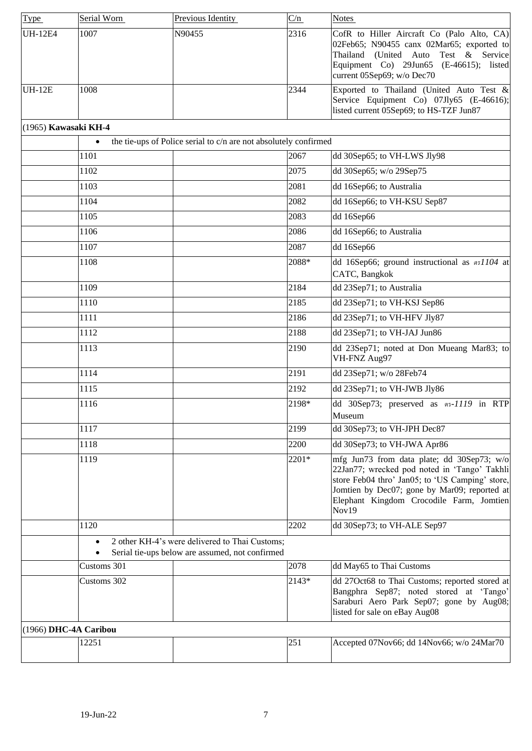<span id="page-6-1"></span><span id="page-6-0"></span>

| Type                 | Serial Worn           | Previous Identity                                                                                 | C/n   | <b>Notes</b>                                                                                                                                                                                                                                       |
|----------------------|-----------------------|---------------------------------------------------------------------------------------------------|-------|----------------------------------------------------------------------------------------------------------------------------------------------------------------------------------------------------------------------------------------------------|
| <b>UH-12E4</b>       | 1007                  | N90455                                                                                            | 2316  | CofR to Hiller Aircraft Co (Palo Alto, CA)<br>02Feb65; N90455 canx 02Mar65; exported to<br>Thailand (United Auto Test & Service<br>Equipment Co) 29Jun65 (E-46615); listed<br>current 05Sep69; w/o Dec70                                           |
| <b>UH-12E</b>        | 1008                  |                                                                                                   | 2344  | Exported to Thailand (United Auto Test &<br>Service Equipment Co) 07Jly65 (E-46616);<br>listed current 05Sep69; to HS-TZF Jun87                                                                                                                    |
| (1965) Kawasaki KH-4 |                       |                                                                                                   |       |                                                                                                                                                                                                                                                    |
|                      |                       | the tie-ups of Police serial to c/n are not absolutely confirmed                                  |       |                                                                                                                                                                                                                                                    |
|                      | 1101                  |                                                                                                   | 2067  | dd 30Sep65; to VH-LWS Jly98                                                                                                                                                                                                                        |
|                      | 1102                  |                                                                                                   | 2075  | dd 30Sep65; w/o 29Sep75                                                                                                                                                                                                                            |
|                      | 1103                  |                                                                                                   | 2081  | dd 16Sep66; to Australia                                                                                                                                                                                                                           |
|                      | 1104                  |                                                                                                   | 2082  | dd 16Sep66; to VH-KSU Sep87                                                                                                                                                                                                                        |
|                      | 1105                  |                                                                                                   | 2083  | dd 16Sep66                                                                                                                                                                                                                                         |
|                      | 1106                  |                                                                                                   | 2086  | dd 16Sep66; to Australia                                                                                                                                                                                                                           |
|                      | 1107                  |                                                                                                   | 2087  | dd 16Sep66                                                                                                                                                                                                                                         |
|                      | 1108                  |                                                                                                   | 2088* | dd 16Sep66; ground instructional as øs1104 at<br>CATC, Bangkok                                                                                                                                                                                     |
|                      | 1109                  |                                                                                                   | 2184  | dd 23Sep71; to Australia                                                                                                                                                                                                                           |
|                      | 1110                  |                                                                                                   | 2185  | dd 23Sep71; to VH-KSJ Sep86                                                                                                                                                                                                                        |
|                      | 1111                  |                                                                                                   | 2186  | dd 23Sep71; to VH-HFV Jly87                                                                                                                                                                                                                        |
|                      | 1112                  |                                                                                                   | 2188  | dd 23Sep71; to VH-JAJ Jun86                                                                                                                                                                                                                        |
|                      | 1113                  |                                                                                                   | 2190  | dd 23Sep71; noted at Don Mueang Mar83; to<br>VH-FNZ Aug97                                                                                                                                                                                          |
|                      | 1114                  |                                                                                                   | 2191  | dd 23Sep71; w/o 28Feb74                                                                                                                                                                                                                            |
|                      | 1115                  |                                                                                                   | 2192  | dd 23Sep71; to VH-JWB Jly86                                                                                                                                                                                                                        |
|                      | 1116                  |                                                                                                   | 2198* | dd 30Sep73; preserved as n5-1119 in RTP<br>Museum                                                                                                                                                                                                  |
|                      | 1117                  |                                                                                                   | 2199  | dd 30Sep73; to VH-JPH Dec87                                                                                                                                                                                                                        |
|                      | 1118                  |                                                                                                   | 2200  | dd 30Sep73; to VH-JWA Apr86                                                                                                                                                                                                                        |
|                      | 1119                  |                                                                                                   | 2201* | mfg Jun73 from data plate; dd 30Sep73; w/o<br>22Jan77; wrecked pod noted in 'Tango' Takhli<br>store Feb04 thro' Jan05; to 'US Camping' store,<br>Jomtien by Dec07; gone by Mar09; reported at<br>Elephant Kingdom Crocodile Farm, Jomtien<br>Nov19 |
|                      | 1120                  |                                                                                                   | 2202  | dd 30Sep73; to VH-ALE Sep97                                                                                                                                                                                                                        |
|                      |                       | 2 other KH-4's were delivered to Thai Customs;<br>Serial tie-ups below are assumed, not confirmed |       |                                                                                                                                                                                                                                                    |
|                      | Customs 301           |                                                                                                   | 2078  | dd May65 to Thai Customs                                                                                                                                                                                                                           |
|                      | Customs 302           |                                                                                                   | 2143* | dd 27Oct68 to Thai Customs; reported stored at<br>Bangphra Sep87; noted stored at 'Tango'<br>Saraburi Aero Park Sep07; gone by Aug08;<br>listed for sale on eBay Aug08                                                                             |
|                      | (1966) DHC-4A Caribou |                                                                                                   |       |                                                                                                                                                                                                                                                    |
|                      | 12251                 |                                                                                                   | 251   | Accepted 07Nov66; dd 14Nov66; w/o 24Mar70                                                                                                                                                                                                          |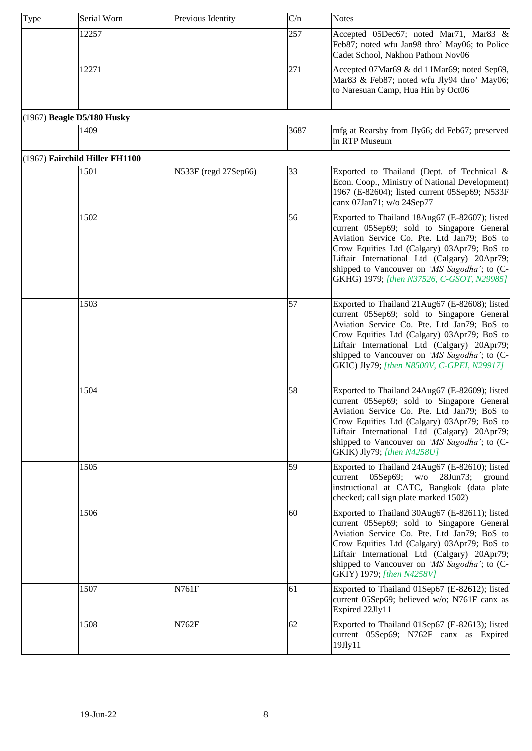<span id="page-7-1"></span><span id="page-7-0"></span>

| Type | Serial Worn                    | Previous Identity    | C/n  | <b>Notes</b>                                                                                                                                                                                                                                                                                                                             |
|------|--------------------------------|----------------------|------|------------------------------------------------------------------------------------------------------------------------------------------------------------------------------------------------------------------------------------------------------------------------------------------------------------------------------------------|
|      | 12257                          |                      | 257  | Accepted 05Dec67; noted Mar71, Mar83 &<br>Feb87; noted wfu Jan98 thro' May06; to Police<br>Cadet School, Nakhon Pathom Nov06                                                                                                                                                                                                             |
|      | 12271                          |                      | 271  | Accepted 07Mar69 & dd 11Mar69; noted Sep69,<br>Mar83 & Feb87; noted wfu Jly94 thro' May06;<br>to Naresuan Camp, Hua Hin by Oct06                                                                                                                                                                                                         |
|      | (1967) Beagle D5/180 Husky     |                      |      |                                                                                                                                                                                                                                                                                                                                          |
|      | 1409                           |                      | 3687 | mfg at Rearsby from Jly66; dd Feb67; preserved<br>in RTP Museum                                                                                                                                                                                                                                                                          |
|      | (1967) Fairchild Hiller FH1100 |                      |      |                                                                                                                                                                                                                                                                                                                                          |
|      | 1501                           | N533F (regd 27Sep66) | 33   | Exported to Thailand (Dept. of Technical &<br>Econ. Coop., Ministry of National Development)<br>1967 (E-82604); listed current 05Sep69; N533F<br>canx 07Jan71; w/o 24Sep77                                                                                                                                                               |
|      | 1502                           |                      | 56   | Exported to Thailand 18Aug67 (E-82607); listed<br>current 05Sep69; sold to Singapore General<br>Aviation Service Co. Pte. Ltd Jan79; BoS to<br>Crow Equities Ltd (Calgary) 03Apr79; BoS to<br>Liftair International Ltd (Calgary) 20Apr79;<br>shipped to Vancouver on 'MS Sagodha'; to (C-<br>GKHG) 1979; [then N37526, C-GSOT, N29985]  |
|      | 1503                           |                      | 57   | Exported to Thailand 21Aug67 (E-82608); listed<br>current 05Sep69; sold to Singapore General<br>Aviation Service Co. Pte. Ltd Jan79; BoS to<br>Crow Equities Ltd (Calgary) 03Apr79; BoS to<br>Liftair International Ltd (Calgary) 20Apr79;<br>shipped to Vancouver on 'MS Sagodha'; to (C-<br>GKIC) Jly79; [then N8500V, C-GPEI, N29917] |
|      | 1504                           |                      | 58   | Exported to Thailand 24Aug67 (E-82609); listed<br>current 05Sep69; sold to Singapore General<br>Aviation Service Co. Pte. Ltd Jan79: BoS tol<br>Crow Equities Ltd (Calgary) 03Apr79; BoS to<br>Liftair International Ltd (Calgary) 20Apr79;<br>shipped to Vancouver on 'MS Sagodha'; to (C-<br>GKIK) Jly79; [then N4258U]                |
|      | 1505                           |                      | 59   | Exported to Thailand 24Aug67 (E-82610); listed<br>current 05Sep69; w/o 28Jun73; ground<br>instructional at CATC, Bangkok (data plate<br>checked; call sign plate marked 1502)                                                                                                                                                            |
|      | 1506                           |                      | 60   | Exported to Thailand 30Aug67 (E-82611); listed<br>current 05Sep69; sold to Singapore General<br>Aviation Service Co. Pte. Ltd Jan79; BoS to<br>Crow Equities Ltd (Calgary) 03Apr79; BoS to<br>Liftair International Ltd (Calgary) 20Apr79;<br>shipped to Vancouver on 'MS Sagodha'; to (C-<br>GKIY) 1979; [then N4258V]                  |
|      | 1507                           | N761F                | 61   | Exported to Thailand 01Sep67 (E-82612); listed<br>current 05Sep69; believed w/o; N761F canx as<br>Expired 22Jly11                                                                                                                                                                                                                        |
|      | 1508                           | N762F                | 62   | Exported to Thailand 01Sep67 (E-82613); listed<br>current 05Sep69; N762F canx as Expired<br>19Jly11                                                                                                                                                                                                                                      |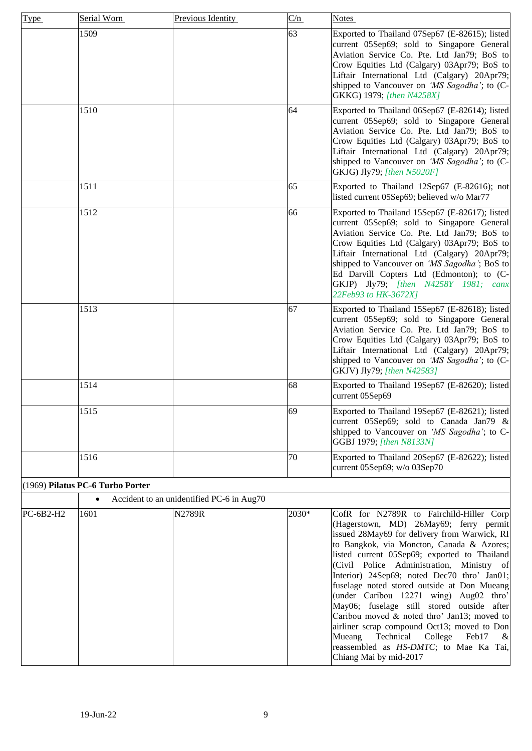<span id="page-8-0"></span>

| <b>Type</b> | Serial Worn                      | Previous Identity                         | C/n   | <b>Notes</b>                                                                                                                                                                                                                                                                                                                                                                                                                                                                                                                                                                                                                                                                         |
|-------------|----------------------------------|-------------------------------------------|-------|--------------------------------------------------------------------------------------------------------------------------------------------------------------------------------------------------------------------------------------------------------------------------------------------------------------------------------------------------------------------------------------------------------------------------------------------------------------------------------------------------------------------------------------------------------------------------------------------------------------------------------------------------------------------------------------|
|             | 1509                             |                                           | 63    | Exported to Thailand 07Sep67 (E-82615); listed<br>current 05Sep69; sold to Singapore General<br>Aviation Service Co. Pte. Ltd Jan79; BoS to<br>Crow Equities Ltd (Calgary) 03Apr79; BoS to<br>Liftair International Ltd (Calgary) 20Apr79;<br>shipped to Vancouver on 'MS Sagodha'; to (C-<br>GKKG) 1979; [then N4258X]                                                                                                                                                                                                                                                                                                                                                              |
|             | 1510                             |                                           | 64    | Exported to Thailand 06Sep67 (E-82614); listed<br>current 05Sep69; sold to Singapore General<br>Aviation Service Co. Pte. Ltd Jan79; BoS to<br>Crow Equities Ltd (Calgary) 03Apr79; BoS to<br>Liftair International Ltd (Calgary) 20Apr79;<br>shipped to Vancouver on 'MS Sagodha'; to (C-<br>GKJG) Jly79; [then N5020F]                                                                                                                                                                                                                                                                                                                                                             |
|             | 1511                             |                                           | 65    | Exported to Thailand 12Sep67 (E-82616); not<br>listed current 05Sep69; believed w/o Mar77                                                                                                                                                                                                                                                                                                                                                                                                                                                                                                                                                                                            |
|             | 1512                             |                                           | 66    | Exported to Thailand 15Sep67 (E-82617); listed<br>current 05Sep69; sold to Singapore General<br>Aviation Service Co. Pte. Ltd Jan79; BoS to<br>Crow Equities Ltd (Calgary) 03Apr79; BoS to<br>Liftair International Ltd (Calgary) 20Apr79;<br>shipped to Vancouver on 'MS Sagodha'; BoS to<br>Ed Darvill Copters Ltd (Edmonton); to (C-<br>GKJP) Jly79; [then N4258Y 1981; canx<br>22Feb93 to HK-3672X]                                                                                                                                                                                                                                                                              |
|             | 1513                             |                                           | 67    | Exported to Thailand 15Sep67 (E-82618); listed<br>current 05Sep69; sold to Singapore General<br>Aviation Service Co. Pte. Ltd Jan79; BoS to<br>Crow Equities Ltd (Calgary) 03Apr79; BoS to<br>Liftair International Ltd (Calgary) 20Apr79;<br>shipped to Vancouver on 'MS Sagodha'; to (C-<br>GKJV) Jly79; [then N42583]                                                                                                                                                                                                                                                                                                                                                             |
|             | 1514                             |                                           | 68    | Exported to Thailand 19Sep67 (E-82620); listed<br>current 05Sep69                                                                                                                                                                                                                                                                                                                                                                                                                                                                                                                                                                                                                    |
|             | 1515                             |                                           | 69    | Exported to Thailand 19Sep67 (E-82621); listed<br>current 05Sep69; sold to Canada Jan79 &<br>shipped to Vancouver on 'MS Sagodha'; to C-<br>GGBJ 1979; [then N8133N]                                                                                                                                                                                                                                                                                                                                                                                                                                                                                                                 |
|             | 1516                             |                                           | 70    | Exported to Thailand 20Sep67 (E-82622); listed<br>current 05Sep69; w/o 03Sep70                                                                                                                                                                                                                                                                                                                                                                                                                                                                                                                                                                                                       |
|             | (1969) Pilatus PC-6 Turbo Porter |                                           |       |                                                                                                                                                                                                                                                                                                                                                                                                                                                                                                                                                                                                                                                                                      |
|             | $\bullet$                        | Accident to an unidentified PC-6 in Aug70 |       |                                                                                                                                                                                                                                                                                                                                                                                                                                                                                                                                                                                                                                                                                      |
| PC-6B2-H2   | 1601                             | N2789R                                    | 2030* | CofR for N2789R to Fairchild-Hiller Corp<br>(Hagerstown, MD) 26May69; ferry permit<br>issued 28May69 for delivery from Warwick, RI<br>to Bangkok, via Moncton, Canada & Azores;<br>listed current 05Sep69; exported to Thailand<br>(Civil Police Administration, Ministry of<br>Interior) 24Sep69; noted Dec70 thro' Jan01;<br>fuselage noted stored outside at Don Mueang<br>(under Caribou 12271 wing) Aug02 thro'<br>May06; fuselage still stored outside after<br>Caribou moved & noted thro' Jan13; moved to<br>airliner scrap compound Oct13; moved to Don<br>Mueang<br>Technical<br>College<br>Feb17<br>&<br>reassembled as HS-DMTC; to Mae Ka Tai,<br>Chiang Mai by mid-2017 |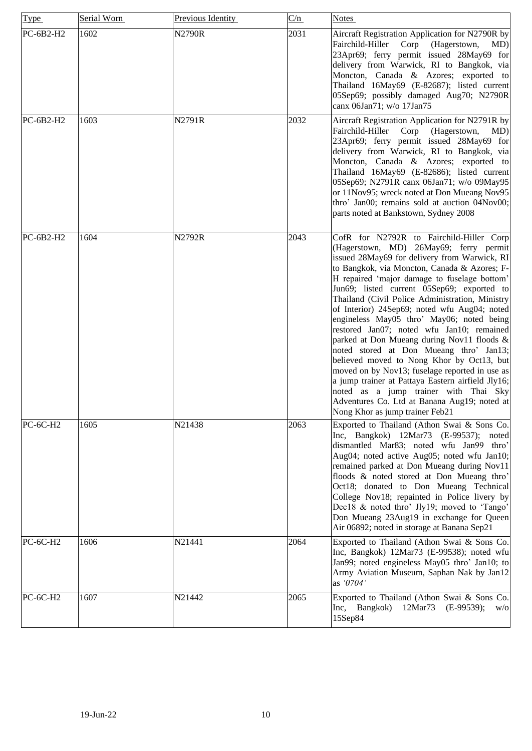| <b>Type</b>     | Serial Worn | Previous Identity | C/n  | <b>Notes</b>                                                                                                                                                                                                                                                                                                                                                                                                                                                                                                                                                                                                                                                                                                                                                                                                                                           |
|-----------------|-------------|-------------------|------|--------------------------------------------------------------------------------------------------------------------------------------------------------------------------------------------------------------------------------------------------------------------------------------------------------------------------------------------------------------------------------------------------------------------------------------------------------------------------------------------------------------------------------------------------------------------------------------------------------------------------------------------------------------------------------------------------------------------------------------------------------------------------------------------------------------------------------------------------------|
| PC-6B2-H2       | 1602        | <b>N2790R</b>     | 2031 | Aircraft Registration Application for N2790R by<br>Fairchild-Hiller<br>Corp<br>(Hagerstown,<br>MD)<br>23Apr69; ferry permit issued 28May69 for<br>delivery from Warwick, RI to Bangkok, via<br>Moncton, Canada & Azores; exported to<br>Thailand 16May69 (E-82687); listed current<br>05Sep69; possibly damaged Aug70; N2790R<br>canx 06Jan71; w/o 17Jan75                                                                                                                                                                                                                                                                                                                                                                                                                                                                                             |
| PC-6B2-H2       | 1603        | N2791R            | 2032 | Aircraft Registration Application for N2791R by<br>Fairchild-Hiller<br>Corp<br>(Hagerstown,<br>MD)<br>23Apr69; ferry permit issued 28May69 for<br>delivery from Warwick, RI to Bangkok, via<br>Moncton, Canada & Azores; exported to<br>Thailand 16May69 (E-82686); listed current<br>05Sep69; N2791R canx 06Jan71; w/o 09May95<br>or 11Nov95; wreck noted at Don Mueang Nov95<br>thro' Jan00; remains sold at auction 04Nov00;<br>parts noted at Bankstown, Sydney 2008                                                                                                                                                                                                                                                                                                                                                                               |
| PC-6B2-H2       | 1604        | N2792R            | 2043 | CofR for N2792R to Fairchild-Hiller Corp<br>(Hagerstown, MD) 26May69; ferry permit<br>issued 28May69 for delivery from Warwick, RI<br>to Bangkok, via Moncton, Canada & Azores; F-<br>H repaired 'major damage to fuselage bottom'<br>Jun69; listed current 05Sep69; exported to<br>Thailand (Civil Police Administration, Ministry<br>of Interior) 24Sep69; noted wfu Aug04; noted<br>engineless May05 thro' May06; noted being<br>restored Jan07; noted wfu Jan10; remained<br>parked at Don Mueang during Nov11 floods &<br>noted stored at Don Mueang thro' Jan13;<br>believed moved to Nong Khor by Oct13, but<br>moved on by Nov13; fuselage reported in use as<br>a jump trainer at Pattaya Eastern airfield Jly16;<br>noted as a jump trainer with Thai Sky<br>Adventures Co. Ltd at Banana Aug19; noted at<br>Nong Khor as jump trainer Feb21 |
| <b>PC-6C-H2</b> | 1605        | N21438            | 2063 | Exported to Thailand (Athon Swai & Sons Co.<br>Inc, Bangkok) 12Mar73 (E-99537); noted<br>dismantled Mar83; noted wfu Jan99 thro'<br>Aug04; noted active Aug05; noted wfu Jan10;<br>remained parked at Don Mueang during Nov11<br>floods & noted stored at Don Mueang thro'<br>Oct18; donated to Don Mueang Technical<br>College Nov18; repainted in Police livery by<br>Dec18 & noted thro' Jly19; moved to 'Tango'<br>Don Mueang 23Aug19 in exchange for Queen<br>Air 06892; noted in storage at Banana Sep21                                                                                                                                                                                                                                                                                                                                         |
| <b>PC-6C-H2</b> | 1606        | N21441            | 2064 | Exported to Thailand (Athon Swai & Sons Co.<br>Inc, Bangkok) 12Mar73 (E-99538); noted wfu<br>Jan99; noted engineless May05 thro' Jan10; to<br>Army Aviation Museum, Saphan Nak by Jan12<br>as '0704'                                                                                                                                                                                                                                                                                                                                                                                                                                                                                                                                                                                                                                                   |
| <b>PC-6C-H2</b> | 1607        | N21442            | 2065 | Exported to Thailand (Athon Swai & Sons Co.<br>Inc, Bangkok)<br>12Mar73<br>$(E-99539);$<br>W/O<br>15Sep84                                                                                                                                                                                                                                                                                                                                                                                                                                                                                                                                                                                                                                                                                                                                              |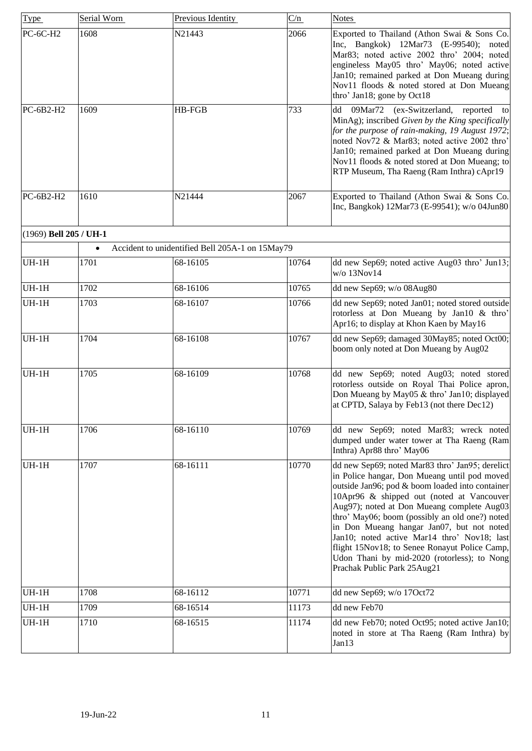<span id="page-10-0"></span>

| Type                   | Serial Worn | Previous Identity                               | C/n   | <b>Notes</b>                                                                                                                                                                                                                                                                                                                                                                                                                                                                                                               |
|------------------------|-------------|-------------------------------------------------|-------|----------------------------------------------------------------------------------------------------------------------------------------------------------------------------------------------------------------------------------------------------------------------------------------------------------------------------------------------------------------------------------------------------------------------------------------------------------------------------------------------------------------------------|
| <b>PC-6C-H2</b>        | 1608        | N21443                                          | 2066  | Exported to Thailand (Athon Swai & Sons Co.<br>Inc, Bangkok) 12Mar73 (E-99540); noted<br>Mar83; noted active 2002 thro' 2004; noted<br>engineless May05 thro' May06; noted active<br>Jan10; remained parked at Don Mueang during<br>Nov11 floods & noted stored at Don Mueang<br>thro' Jan18; gone by Oct18                                                                                                                                                                                                                |
| PC-6B2-H2              | 1609        | HB-FGB                                          | 733   | 09Mar72<br>(ex-Switzerland,<br>reported<br>dd<br>to<br>MinAg); inscribed Given by the King specifically<br>for the purpose of rain-making, 19 August 1972;<br>noted Nov72 & Mar83; noted active 2002 thro'<br>Jan10; remained parked at Don Mueang during<br>Nov11 floods & noted stored at Don Mueang; to<br>RTP Museum, Tha Raeng (Ram Inthra) cApr19                                                                                                                                                                    |
| $PC-6B2-H2$            | 1610        | N21444                                          | 2067  | Exported to Thailand (Athon Swai & Sons Co.<br>Inc, Bangkok) 12Mar73 (E-99541); w/o 04Jun80                                                                                                                                                                                                                                                                                                                                                                                                                                |
| (1969) Bell 205 / UH-1 |             |                                                 |       |                                                                                                                                                                                                                                                                                                                                                                                                                                                                                                                            |
|                        |             | Accident to unidentified Bell 205A-1 on 15May79 |       |                                                                                                                                                                                                                                                                                                                                                                                                                                                                                                                            |
| $UH-1H$                | 1701        | 68-16105                                        | 10764 | dd new Sep69; noted active Aug03 thro' Jun13;<br>w/o 13Nov14                                                                                                                                                                                                                                                                                                                                                                                                                                                               |
| $UH-1H$                | 1702        | 68-16106                                        | 10765 | dd new Sep69; w/o 08Aug80                                                                                                                                                                                                                                                                                                                                                                                                                                                                                                  |
| $UH-1H$                | 1703        | 68-16107                                        | 10766 | dd new Sep69; noted Jan01; noted stored outside<br>rotorless at Don Mueang by Jan10 & thro'<br>Apr16; to display at Khon Kaen by May16                                                                                                                                                                                                                                                                                                                                                                                     |
| $UH-1H$                | 1704        | 68-16108                                        | 10767 | dd new Sep69; damaged 30May85; noted Oct00;<br>boom only noted at Don Mueang by Aug02                                                                                                                                                                                                                                                                                                                                                                                                                                      |
| $UH-1H$                | 1705        | 68-16109                                        | 10768 | dd new Sep69; noted Aug03; noted stored<br>rotorless outside on Royal Thai Police apron,<br>Don Mueang by May05 & thro' Jan10; displayed<br>at CPTD, Salaya by Feb13 (not there Dec12)                                                                                                                                                                                                                                                                                                                                     |
| $UH-1H$                | 1706        | 68-16110                                        | 10769 | dd new Sep69; noted Mar83; wreck noted<br>dumped under water tower at Tha Raeng (Ram<br>Inthra) Apr88 thro' May06                                                                                                                                                                                                                                                                                                                                                                                                          |
| $UH-1H$                | 1707        | 68-16111                                        | 10770 | dd new Sep69; noted Mar83 thro' Jan95; derelict<br>in Police hangar, Don Mueang until pod moved<br>outside Jan96; pod & boom loaded into container<br>10Apr96 & shipped out (noted at Vancouver<br>Aug97); noted at Don Mueang complete Aug03<br>thro' May06; boom (possibly an old one?) noted<br>in Don Mueang hangar Jan07, but not noted<br>Jan10; noted active Mar14 thro' Nov18; last<br>flight 15Nov18; to Senee Ronayut Police Camp,<br>Udon Thani by mid-2020 (rotorless); to Nong<br>Prachak Public Park 25Aug21 |
| $UH-1H$                | 1708        | 68-16112                                        | 10771 | dd new Sep69; w/o 17Oct72                                                                                                                                                                                                                                                                                                                                                                                                                                                                                                  |
| $UH-1H$                | 1709        | 68-16514                                        | 11173 | dd new Feb70                                                                                                                                                                                                                                                                                                                                                                                                                                                                                                               |
| $UH-1H$                | 1710        | 68-16515                                        | 11174 | dd new Feb70; noted Oct95; noted active Jan10;<br>noted in store at Tha Raeng (Ram Inthra) by<br>Jan13                                                                                                                                                                                                                                                                                                                                                                                                                     |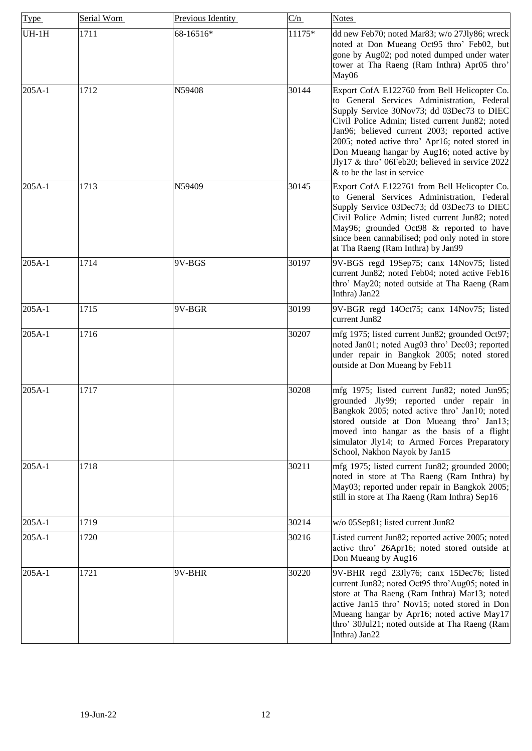| <b>Type</b> | Serial Worn | Previous Identity | C/n    | <b>Notes</b>                                                                                                                                                                                                                                                                                                                                                                                                                      |
|-------------|-------------|-------------------|--------|-----------------------------------------------------------------------------------------------------------------------------------------------------------------------------------------------------------------------------------------------------------------------------------------------------------------------------------------------------------------------------------------------------------------------------------|
| $UH-1H$     | 1711        | 68-16516*         | 11175* | dd new Feb70; noted Mar83; w/o 27Jly86; wreck<br>noted at Don Mueang Oct95 thro' Feb02, but<br>gone by Aug02; pod noted dumped under water<br>tower at Tha Raeng (Ram Inthra) Apr05 thro'<br>May06                                                                                                                                                                                                                                |
| 205A-1      | 1712        | N59408            | 30144  | Export CofA E122760 from Bell Helicopter Co.<br>to General Services Administration, Federal<br>Supply Service 30Nov73; dd 03Dec73 to DIEC<br>Civil Police Admin; listed current Jun82; noted<br>Jan96; believed current 2003; reported active<br>2005; noted active thro' Apr16; noted stored in<br>Don Mueang hangar by Aug16; noted active by<br>Jly17 & thro' 06Feb20; believed in service 2022<br>& to be the last in service |
| 205A-1      | 1713        | N59409            | 30145  | Export CofA E122761 from Bell Helicopter Co.<br>to General Services Administration, Federal<br>Supply Service 03Dec73; dd 03Dec73 to DIEC<br>Civil Police Admin; listed current Jun82; noted<br>May96; grounded Oct98 & reported to have<br>since been cannabilised; pod only noted in store<br>at Tha Raeng (Ram Inthra) by Jan99                                                                                                |
| 205A-1      | 1714        | 9V-BGS            | 30197  | 9V-BGS regd 19Sep75; canx 14Nov75; listed<br>current Jun82; noted Feb04; noted active Feb16<br>thro' May20; noted outside at Tha Raeng (Ram<br>Inthra) Jan22                                                                                                                                                                                                                                                                      |
| 205A-1      | 1715        | 9V-BGR            | 30199  | 9V-BGR regd 14Oct75; canx 14Nov75; listed<br>current Jun82                                                                                                                                                                                                                                                                                                                                                                        |
| 205A-1      | 1716        |                   | 30207  | mfg 1975; listed current Jun82; grounded Oct97;<br>noted Jan01; noted Aug03 thro' Dec03; reported<br>under repair in Bangkok 2005; noted stored<br>outside at Don Mueang by Feb11                                                                                                                                                                                                                                                 |
| 205A-1      | 1717        |                   | 30208  | mfg 1975; listed current Jun82; noted Jun95;<br>grounded Jly99; reported under repair in<br>Bangkok 2005; noted active thro' Jan10; noted<br>stored outside at Don Mueang thro' Jan13;<br>moved into hangar as the basis of a flight<br>simulator Jly14; to Armed Forces Preparatory<br>School, Nakhon Nayok by Jan15                                                                                                             |
| 205A-1      | 1718        |                   | 30211  | mfg 1975; listed current Jun82; grounded 2000;<br>noted in store at Tha Raeng (Ram Inthra) by<br>May03; reported under repair in Bangkok 2005;<br>still in store at Tha Raeng (Ram Inthra) Sep16                                                                                                                                                                                                                                  |
| 205A-1      | 1719        |                   | 30214  | w/o 05Sep81; listed current Jun82                                                                                                                                                                                                                                                                                                                                                                                                 |
| 205A-1      | 1720        |                   | 30216  | Listed current Jun82; reported active 2005; noted<br>active thro' 26Apr16; noted stored outside at<br>Don Mueang by Aug16                                                                                                                                                                                                                                                                                                         |
| 205A-1      | 1721        | 9V-BHR            | 30220  | 9V-BHR regd 23Jly76; canx 15Dec76; listed<br>current Jun82; noted Oct95 thro'Aug05; noted in<br>store at Tha Raeng (Ram Inthra) Mar13; noted<br>active Jan15 thro' Nov15; noted stored in Don<br>Mueang hangar by Apr16; noted active May17<br>thro' 30Jul21; noted outside at Tha Raeng (Ram<br>Inthra) Jan22                                                                                                                    |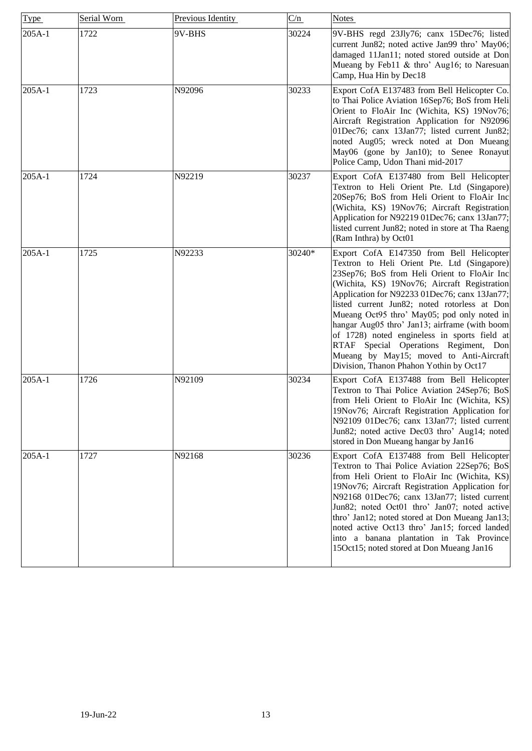| Type     | Serial Worn | Previous Identity | C/n    | <b>Notes</b>                                                                                                                                                                                                                                                                                                                                                                                                                                                                                                                                                           |
|----------|-------------|-------------------|--------|------------------------------------------------------------------------------------------------------------------------------------------------------------------------------------------------------------------------------------------------------------------------------------------------------------------------------------------------------------------------------------------------------------------------------------------------------------------------------------------------------------------------------------------------------------------------|
| 205A-1   | 1722        | 9V-BHS            | 30224  | 9V-BHS regd 23Jly76; canx 15Dec76; listed<br>current Jun82; noted active Jan99 thro' May06;<br>damaged 11Jan11; noted stored outside at Don<br>Mueang by Feb11 & thro' Aug16; to Naresuan<br>Camp, Hua Hin by Dec18                                                                                                                                                                                                                                                                                                                                                    |
| 205A-1   | 1723        | N92096            | 30233  | Export CofA E137483 from Bell Helicopter Co.<br>to Thai Police Aviation 16Sep76; BoS from Heli<br>Orient to FloAir Inc (Wichita, KS) 19Nov76;<br>Aircraft Registration Application for N92096<br>01Dec76; canx 13Jan77; listed current Jun82;<br>noted Aug05; wreck noted at Don Mueang<br>May06 (gone by Jan10); to Senee Ronayut<br>Police Camp, Udon Thani mid-2017                                                                                                                                                                                                 |
| 205A-1   | 1724        | N92219            | 30237  | Export CofA E137480 from Bell Helicopter<br>Textron to Heli Orient Pte. Ltd (Singapore)<br>20Sep76; BoS from Heli Orient to FloAir Inc<br>(Wichita, KS) 19Nov76; Aircraft Registration<br>Application for N92219 01Dec76; canx 13Jan77;<br>listed current Jun82; noted in store at Tha Raeng<br>(Ram Inthra) by Oct01                                                                                                                                                                                                                                                  |
| 205A-1   | 1725        | N92233            | 30240* | Export CofA E147350 from Bell Helicopter<br>Textron to Heli Orient Pte. Ltd (Singapore)<br>23Sep76; BoS from Heli Orient to FloAir Inc<br>(Wichita, KS) 19Nov76; Aircraft Registration<br>Application for N92233 01Dec76; canx 13Jan77;<br>listed current Jun82; noted rotorless at Don<br>Mueang Oct95 thro' May05; pod only noted in<br>hangar Aug05 thro' Jan13; airframe (with boom<br>of 1728) noted engineless in sports field at<br>RTAF Special Operations Regiment, Don<br>Mueang by May15; moved to Anti-Aircraft<br>Division, Thanon Phahon Yothin by Oct17 |
| $205A-1$ | 1726        | N92109            | 30234  | Export CofA E137488 from Bell Helicopter<br>Textron to Thai Police Aviation 24Sep76; BoS<br>from Heli Orient to FloAir Inc (Wichita, KS)<br>19Nov76; Aircraft Registration Application for<br>N92109 01Dec76; canx 13Jan77; listed current<br>Jun82; noted active Dec03 thro' Aug14; noted<br>stored in Don Mueang hangar by Jan16                                                                                                                                                                                                                                     |
| 205A-1   | 1727        | N92168            | 30236  | Export CofA E137488 from Bell Helicopter<br>Textron to Thai Police Aviation 22Sep76; BoS<br>from Heli Orient to FloAir Inc (Wichita, KS)<br>19Nov76; Aircraft Registration Application for<br>N92168 01Dec76; canx 13Jan77; listed current<br>Jun82; noted Oct01 thro' Jan07; noted active<br>thro' Jan12; noted stored at Don Mueang Jan13;<br>noted active Oct13 thro' Jan15; forced landed<br>into a banana plantation in Tak Province<br>15Oct15; noted stored at Don Mueang Jan16                                                                                 |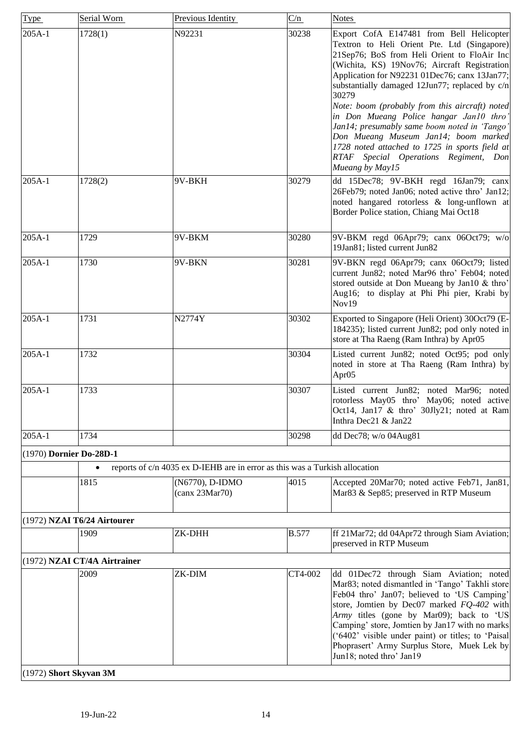| <b>Type</b>             | Serial Worn                  | Previous Identity                                                           | C/n          | <b>Notes</b>                                                                                                                                                                                                                                                                                                                                                                                                                                                                                                                                                                                          |
|-------------------------|------------------------------|-----------------------------------------------------------------------------|--------------|-------------------------------------------------------------------------------------------------------------------------------------------------------------------------------------------------------------------------------------------------------------------------------------------------------------------------------------------------------------------------------------------------------------------------------------------------------------------------------------------------------------------------------------------------------------------------------------------------------|
| 205A-1                  | 1728(1)                      | N92231                                                                      | 30238        | Export CofA E147481 from Bell Helicopter<br>Textron to Heli Orient Pte. Ltd (Singapore)<br>21Sep76; BoS from Heli Orient to FloAir Inc<br>(Wichita, KS) 19Nov76; Aircraft Registration<br>Application for N92231 01Dec76; canx 13Jan77;<br>substantially damaged 12Jun77; replaced by c/n<br>30279<br>Note: boom (probably from this aircraft) noted<br>in Don Mueang Police hangar Jan10 thro'<br>Jan14; presumably same boom noted in 'Tango'<br>Don Mueang Museum Jan14; boom marked<br>1728 noted attached to 1725 in sports field at<br>RTAF Special Operations Regiment, Don<br>Mueang by May15 |
| $205A-1$                | 1728(2)                      | 9V-BKH                                                                      | 30279        | dd 15Dec78; 9V-BKH regd 16Jan79; canx<br>26Feb79; noted Jan06; noted active thro' Jan12;<br>noted hangared rotorless & long-unflown at<br>Border Police station, Chiang Mai Oct18                                                                                                                                                                                                                                                                                                                                                                                                                     |
| $205A-1$                | 1729                         | 9V-BKM                                                                      | 30280        | 9V-BKM regd 06Apr79; canx 06Oct79; w/o<br>19Jan81; listed current Jun82                                                                                                                                                                                                                                                                                                                                                                                                                                                                                                                               |
| 205A-1                  | 1730                         | 9V-BKN                                                                      | 30281        | 9V-BKN regd 06Apr79; canx 06Oct79; listed<br>current Jun82; noted Mar96 thro' Feb04; noted<br>stored outside at Don Mueang by Jan10 & thro'<br>Aug16; to display at Phi Phi pier, Krabi by<br>Nov19                                                                                                                                                                                                                                                                                                                                                                                                   |
| 205A-1                  | 1731                         | N2774Y                                                                      | 30302        | Exported to Singapore (Heli Orient) 30Oct79 (E-<br>184235); listed current Jun82; pod only noted in<br>store at Tha Raeng (Ram Inthra) by Apr05                                                                                                                                                                                                                                                                                                                                                                                                                                                       |
| $205A-1$                | 1732                         |                                                                             | 30304        | Listed current Jun82; noted Oct95; pod only<br>noted in store at Tha Raeng (Ram Inthra) by<br>Apr <sub>05</sub>                                                                                                                                                                                                                                                                                                                                                                                                                                                                                       |
| $205A-1$                | 1733                         |                                                                             | 30307        | Listed current Jun82; noted Mar96; noted<br>rotorless May05 thro' May06; noted active<br>Oct14, Jan17 & thro' 30Jly21; noted at Ram<br>Inthra Dec21 & Jan22                                                                                                                                                                                                                                                                                                                                                                                                                                           |
| 205A-1                  | 1734                         |                                                                             | 30298        | dd Dec78; w/o 04Aug81                                                                                                                                                                                                                                                                                                                                                                                                                                                                                                                                                                                 |
| (1970) Dornier Do-28D-1 |                              |                                                                             |              |                                                                                                                                                                                                                                                                                                                                                                                                                                                                                                                                                                                                       |
|                         |                              | reports of c/n 4035 ex D-IEHB are in error as this was a Turkish allocation |              |                                                                                                                                                                                                                                                                                                                                                                                                                                                                                                                                                                                                       |
|                         | 1815                         | (N6770), D-IDMO<br>(canx 23Mar70)                                           | 4015         | Accepted 20Mar70; noted active Feb71, Jan81,<br>Mar83 & Sep85; preserved in RTP Museum                                                                                                                                                                                                                                                                                                                                                                                                                                                                                                                |
|                         | (1972) NZAI T6/24 Airtourer  |                                                                             |              |                                                                                                                                                                                                                                                                                                                                                                                                                                                                                                                                                                                                       |
|                         | 1909                         | ZK-DHH                                                                      | <b>B.577</b> | ff 21Mar72; dd 04Apr72 through Siam Aviation;<br>preserved in RTP Museum                                                                                                                                                                                                                                                                                                                                                                                                                                                                                                                              |
|                         | (1972) NZAI CT/4A Airtrainer |                                                                             |              |                                                                                                                                                                                                                                                                                                                                                                                                                                                                                                                                                                                                       |
|                         | 2009                         | ZK-DIM                                                                      | CT4-002      | dd 01Dec72 through Siam Aviation; noted<br>Mar83; noted dismantled in 'Tango' Takhli store<br>Feb04 thro' Jan07; believed to 'US Camping'<br>store, Jomtien by Dec07 marked FQ-402 with<br>Army titles (gone by Mar09); back to 'US<br>Camping' store, Jomtien by Jan17 with no marks<br>('6402' visible under paint) or titles; to 'Paisal<br>Phoprasert' Army Surplus Store, Muek Lek by<br>Jun18; noted thro' Jan19                                                                                                                                                                                |

<span id="page-13-3"></span><span id="page-13-2"></span><span id="page-13-1"></span><span id="page-13-0"></span>(1972) **Short Skyvan 3M**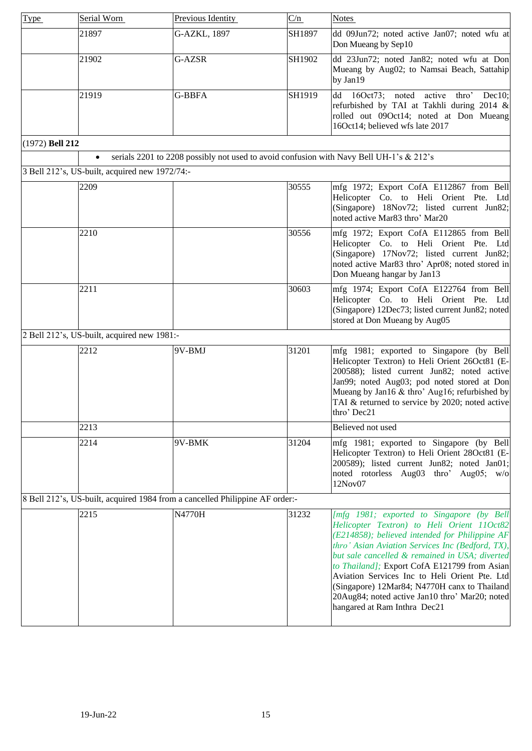<span id="page-14-0"></span>

| Type            | Serial Worn                                    | Previous Identity                                                                       | C/n    | <b>Notes</b>                                                                                                                                                                                                                                                                                                                                                                                                                                                                       |
|-----------------|------------------------------------------------|-----------------------------------------------------------------------------------------|--------|------------------------------------------------------------------------------------------------------------------------------------------------------------------------------------------------------------------------------------------------------------------------------------------------------------------------------------------------------------------------------------------------------------------------------------------------------------------------------------|
|                 | 21897                                          | G-AZKL, 1897                                                                            | SH1897 | dd 09Jun72; noted active Jan07; noted wfu at<br>Don Mueang by Sep10                                                                                                                                                                                                                                                                                                                                                                                                                |
|                 | 21902                                          | G-AZSR                                                                                  | SH1902 | dd 23Jun72; noted Jan82; noted wfu at Don<br>Mueang by Aug02; to Namsai Beach, Sattahip<br>by Jan19                                                                                                                                                                                                                                                                                                                                                                                |
|                 | 21919                                          | <b>G-BBFA</b>                                                                           | SH1919 | 16Oct73; noted active<br>dd<br>thro'<br>Dec10;<br>refurbished by TAI at Takhli during 2014 &<br>rolled out 09Oct14; noted at Don Mueang<br>16Oct14; believed wfs late 2017                                                                                                                                                                                                                                                                                                         |
| (1972) Bell 212 |                                                |                                                                                         |        |                                                                                                                                                                                                                                                                                                                                                                                                                                                                                    |
|                 | $\bullet$                                      | serials 2201 to 2208 possibly not used to avoid confusion with Navy Bell UH-1's & 212's |        |                                                                                                                                                                                                                                                                                                                                                                                                                                                                                    |
|                 | 3 Bell 212's, US-built, acquired new 1972/74:- |                                                                                         |        |                                                                                                                                                                                                                                                                                                                                                                                                                                                                                    |
|                 | 2209                                           |                                                                                         | 30555  | mfg 1972; Export CofA E112867 from Bell<br>Helicopter Co. to Heli Orient Pte. Ltd<br>(Singapore) 18Nov72; listed current Jun82;<br>noted active Mar83 thro' Mar20                                                                                                                                                                                                                                                                                                                  |
|                 | 2210                                           |                                                                                         | 30556  | mfg 1972; Export CofA E112865 from Bell<br>Helicopter Co. to Heli Orient Pte. Ltd<br>(Singapore) 17Nov72; listed current Jun82;<br>noted active Mar83 thro' Apr08; noted stored in<br>Don Mueang hangar by Jan13                                                                                                                                                                                                                                                                   |
|                 | 2211                                           |                                                                                         | 30603  | mfg 1974; Export CofA E122764 from Bell<br>Helicopter Co. to Heli Orient Pte. Ltd<br>(Singapore) 12Dec73; listed current Jun82; noted<br>stored at Don Mueang by Aug05                                                                                                                                                                                                                                                                                                             |
|                 | 2 Bell 212's, US-built, acquired new 1981:-    |                                                                                         |        |                                                                                                                                                                                                                                                                                                                                                                                                                                                                                    |
|                 | 2212                                           | 9V-BMJ                                                                                  | 31201  | mfg 1981; exported to Singapore (by Bell<br>Helicopter Textron) to Heli Orient 26Oct81 (E-<br>200588); listed current Jun82; noted active<br>Jan99; noted Aug03; pod noted stored at Don<br>Mueang by Jan16 & thro' Aug16; refurbished by<br>TAI & returned to service by 2020; noted active<br>thro' Dec21                                                                                                                                                                        |
|                 | 2213                                           |                                                                                         |        | Believed not used                                                                                                                                                                                                                                                                                                                                                                                                                                                                  |
|                 | 2214                                           | 9V-BMK                                                                                  | 31204  | mfg 1981; exported to Singapore (by Bell<br>Helicopter Textron) to Heli Orient 28Oct81 (E-<br>200589); listed current Jun82; noted Jan01;<br>noted rotorless Aug03 thro' Aug05; w/o<br>12Nov07                                                                                                                                                                                                                                                                                     |
|                 |                                                | 8 Bell 212's, US-built, acquired 1984 from a cancelled Philippine AF order:-            |        |                                                                                                                                                                                                                                                                                                                                                                                                                                                                                    |
|                 | 2215                                           | N4770H                                                                                  | 31232  | [mfg 1981; exported to Singapore (by Bell<br>Helicopter Textron) to Heli Orient 11Oct82<br>(E214858); believed intended for Philippine AF<br>thro' Asian Aviation Services Inc (Bedford, TX),<br>but sale cancelled & remained in USA; diverted<br>to Thailand]; Export CofA E121799 from Asian<br>Aviation Services Inc to Heli Orient Pte. Ltd<br>(Singapore) 12Mar84; N4770H canx to Thailand<br>20Aug84; noted active Jan10 thro' Mar20; noted<br>hangared at Ram Inthra Dec21 |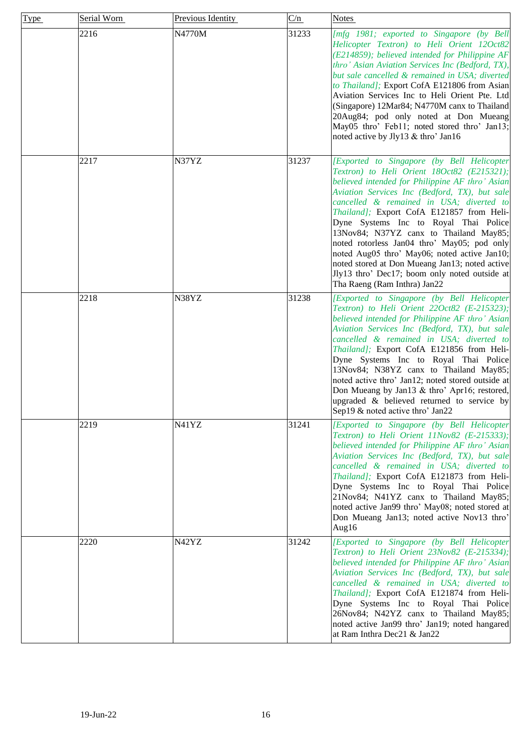| Type | Serial Worn | Previous Identity | C/n   | <b>Notes</b>                                                                                                                                                                                                                                                                                                                                                                                                                                                                                                                                                                                               |
|------|-------------|-------------------|-------|------------------------------------------------------------------------------------------------------------------------------------------------------------------------------------------------------------------------------------------------------------------------------------------------------------------------------------------------------------------------------------------------------------------------------------------------------------------------------------------------------------------------------------------------------------------------------------------------------------|
|      | 2216        | N4770M            | 31233 | [mfg 1981; exported to Singapore (by Bell<br>Helicopter Textron) to Heli Orient 12Oct82<br>(E214859); believed intended for Philippine AF<br>thro' Asian Aviation Services Inc (Bedford, TX),<br>but sale cancelled & remained in USA; diverted<br>to Thailand]; Export CofA E121806 from Asian<br>Aviation Services Inc to Heli Orient Pte. Ltd<br>(Singapore) 12Mar84; N4770M canx to Thailand<br>20Aug84; pod only noted at Don Mueang<br>May05 thro' Feb11; noted stored thro' Jan13;<br>noted active by Jly13 & thro' Jan16                                                                           |
|      | 2217        | N37YZ             | 31237 | [Exported to Singapore (by Bell Helicopter<br>Textron) to Heli Orient 18Oct82 (E215321);<br>believed intended for Philippine AF thro' Asian<br>Aviation Services Inc (Bedford, TX), but sale<br>cancelled & remained in USA; diverted to<br>Thailand]; Export CofA E121857 from Heli-<br>Dyne Systems Inc to Royal Thai Police<br>13Nov84; N37YZ canx to Thailand May85;<br>noted rotorless Jan04 thro' May05; pod only<br>noted Aug05 thro' May06; noted active Jan10;<br>noted stored at Don Mueang Jan13; noted active<br>Jly13 thro' Dec17; boom only noted outside at<br>Tha Raeng (Ram Inthra) Jan22 |
|      | 2218        | N38YZ             | 31238 | [Exported to Singapore (by Bell Helicopter<br>Textron) to Heli Orient 22Oct82 (E-215323);<br>believed intended for Philippine AF thro' Asian<br>Aviation Services Inc (Bedford, TX), but sale<br>cancelled & remained in USA; diverted to<br>Thailand]; Export CofA E121856 from Heli-<br>Dyne Systems Inc to Royal Thai Police<br>13Nov84; N38YZ canx to Thailand May85;<br>noted active thro' Jan12; noted stored outside at<br>Don Mueang by Jan13 & thro' Apr16; restored,<br>upgraded & believed returned to service by<br>Sep19 & noted active thro' Jan22                                           |
|      | 2219        | N41YZ             | 31241 | [Exported to Singapore (by Bell Helicopter<br>Textron) to Heli Orient 11Nov82 (E-215333);<br>believed intended for Philippine AF thro' Asian<br>Aviation Services Inc (Bedford, TX), but sale<br>cancelled & remained in USA; diverted to<br>Thailand]; Export CofA E121873 from Heli-<br>Dyne Systems Inc to Royal Thai Police<br>21Nov84; N41YZ canx to Thailand May85;<br>noted active Jan99 thro' May08; noted stored at<br>Don Mueang Jan13; noted active Nov13 thro'<br>Aug16                                                                                                                        |
|      | 2220        | N42YZ             | 31242 | [Exported to Singapore (by Bell Helicopter<br>Textron) to Heli Orient 23Nov82 (E-215334);<br>believed intended for Philippine AF thro' Asian<br>Aviation Services Inc (Bedford, TX), but sale<br>cancelled & remained in USA; diverted to<br>Thailand]; Export CofA E121874 from Heli-<br>Dyne Systems Inc to Royal Thai Police<br>26Nov84; N42YZ canx to Thailand May85;<br>noted active Jan99 thro' Jan19; noted hangared<br>at Ram Inthra Dec21 & Jan22                                                                                                                                                 |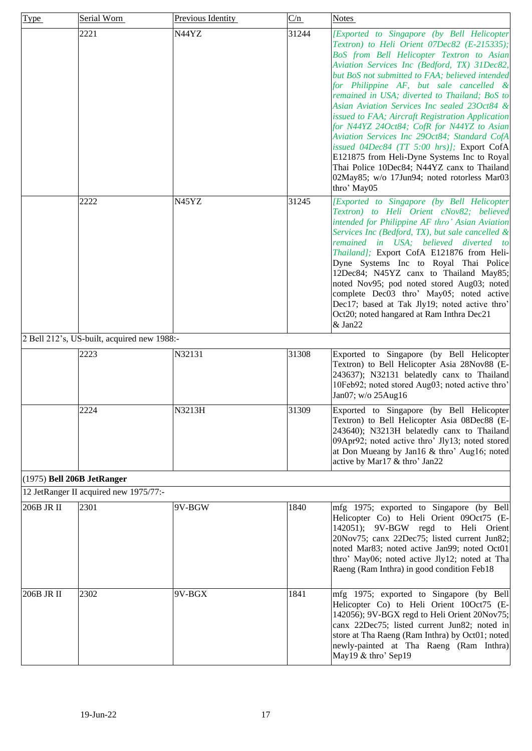<span id="page-16-0"></span>

| <b>Type</b>                | Serial Worn                                 | Previous Identity | C/n   | <b>Notes</b>                                                                                                                                                                                                                                                                                                                                                                                                                                                                                                                                                                                                                                                                                                                                      |
|----------------------------|---------------------------------------------|-------------------|-------|---------------------------------------------------------------------------------------------------------------------------------------------------------------------------------------------------------------------------------------------------------------------------------------------------------------------------------------------------------------------------------------------------------------------------------------------------------------------------------------------------------------------------------------------------------------------------------------------------------------------------------------------------------------------------------------------------------------------------------------------------|
|                            | 2221                                        | N44YZ             | 31244 | [Exported to Singapore (by Bell Helicopter<br>Textron) to Heli Orient 07Dec82 (E-215335);<br>BoS from Bell Helicopter Textron to Asian<br>Aviation Services Inc (Bedford, TX) 31Dec82,<br>but BoS not submitted to FAA; believed intended<br>for Philippine AF, but sale cancelled &<br>remained in USA; diverted to Thailand; BoS to<br>Asian Aviation Services Inc sealed 230ct84 &<br>issued to FAA; Aircraft Registration Application<br>for N44YZ 24Oct84; CofR for N44YZ to Asian<br>Aviation Services Inc 29Oct84; Standard CofA<br>issued 04Dec84 (TT 5:00 hrs)]; Export CofA<br>E121875 from Heli-Dyne Systems Inc to Royal<br>Thai Police 10Dec84; N44YZ canx to Thailand<br>02May85; w/o 17Jun94; noted rotorless Mar03<br>thro' May05 |
|                            | 2222                                        | N45YZ             | 31245 | [Exported to Singapore (by Bell Helicopter<br>Textron) to Heli Orient cNov82; believed<br>intended for Philippine AF thro' Asian Aviation<br>Services Inc (Bedford, TX), but sale cancelled &<br>remained in USA; believed diverted to<br>Thailand]; Export CofA E121876 from Heli-<br>Dyne Systems Inc to Royal Thai Police<br>12Dec84; N45YZ canx to Thailand May85;<br>noted Nov95; pod noted stored Aug03; noted<br>complete Dec03 thro' May05; noted active<br>Dec17; based at Tak Jly19; noted active thro'<br>Oct20; noted hangared at Ram Inthra Dec21<br>& Jan22                                                                                                                                                                         |
|                            | 2 Bell 212's, US-built, acquired new 1988:- |                   |       |                                                                                                                                                                                                                                                                                                                                                                                                                                                                                                                                                                                                                                                                                                                                                   |
|                            | 2223                                        | N32131            | 31308 | Exported to Singapore (by Bell Helicopter<br>Textron) to Bell Helicopter Asia 28Nov88 (E-<br>243637); N32131 belatedly canx to Thailand<br>10Feb92; noted stored Aug03; noted active thro'<br>Jan07; w/o 25Aug16                                                                                                                                                                                                                                                                                                                                                                                                                                                                                                                                  |
|                            | 2224                                        | N3213H            | 31309 | Exported to Singapore (by Bell Helicopter)<br>Textron) to Bell Helicopter Asia 08Dec88 (E-<br>243640); N3213H belatedly canx to Thailand<br>09Apr92; noted active thro' Jly13; noted stored<br>at Don Mueang by Jan16 & thro' Aug16; noted<br>active by Mar17 & thro' Jan22                                                                                                                                                                                                                                                                                                                                                                                                                                                                       |
| (1975) Bell 206B JetRanger |                                             |                   |       |                                                                                                                                                                                                                                                                                                                                                                                                                                                                                                                                                                                                                                                                                                                                                   |
|                            | 12 JetRanger II acquired new 1975/77:-      |                   |       |                                                                                                                                                                                                                                                                                                                                                                                                                                                                                                                                                                                                                                                                                                                                                   |
| 206B JR II                 | 2301                                        | 9V-BGW            | 1840  | mfg 1975; exported to Singapore (by Bell<br>Helicopter Co) to Heli Orient 09Oct75 (E-<br>142051); 9V-BGW regd to Heli Orient<br>20Nov75; canx 22Dec75; listed current Jun82;<br>noted Mar83; noted active Jan99; noted Oct01<br>thro' May06; noted active Jly12; noted at Tha<br>Raeng (Ram Inthra) in good condition Feb18                                                                                                                                                                                                                                                                                                                                                                                                                       |
| 206B JR II                 | 2302                                        | 9V-BGX            | 1841  | mfg 1975; exported to Singapore (by Bell<br>Helicopter Co) to Heli Orient 10Oct75 (E-<br>142056); 9V-BGX regd to Heli Orient 20Nov75;<br>canx 22Dec75; listed current Jun82; noted in<br>store at Tha Raeng (Ram Inthra) by Oct01; noted<br>newly-painted at Tha Raeng (Ram Inthra)<br>May19 & thro' Sep19                                                                                                                                                                                                                                                                                                                                                                                                                                        |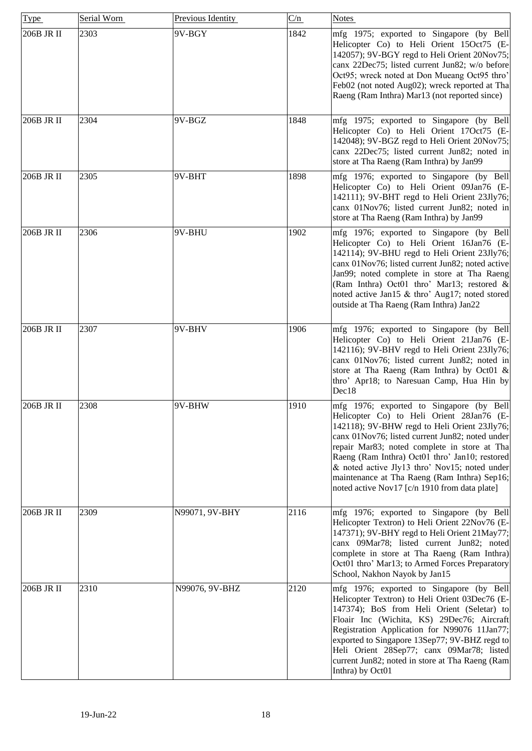| <b>Type</b> | Serial Worn | Previous Identity | C/n  | <b>Notes</b>                                                                                                                                                                                                                                                                                                                                                                                                                                 |
|-------------|-------------|-------------------|------|----------------------------------------------------------------------------------------------------------------------------------------------------------------------------------------------------------------------------------------------------------------------------------------------------------------------------------------------------------------------------------------------------------------------------------------------|
| 206B JR II  | 2303        | 9V-BGY            | 1842 | mfg 1975; exported to Singapore (by Bell<br>Helicopter Co) to Heli Orient 15Oct75 (E-<br>142057); 9V-BGY regd to Heli Orient 20Nov75;<br>canx 22Dec75; listed current Jun82; w/o before<br>Oct95; wreck noted at Don Mueang Oct95 thro'<br>Feb02 (not noted Aug02); wreck reported at Tha<br>Raeng (Ram Inthra) Mar13 (not reported since)                                                                                                   |
| 206B JR II  | 2304        | 9V-BGZ            | 1848 | mfg 1975; exported to Singapore (by Bell<br>Helicopter Co) to Heli Orient 17Oct75 (E-<br>142048); 9V-BGZ regd to Heli Orient 20Nov75;<br>canx 22Dec75; listed current Jun82; noted in<br>store at Tha Raeng (Ram Inthra) by Jan99                                                                                                                                                                                                            |
| 206B JR II  | 2305        | 9V-BHT            | 1898 | mfg 1976; exported to Singapore (by Bell<br>Helicopter Co) to Heli Orient 09Jan76 (E-<br>142111); 9V-BHT regd to Heli Orient 23Jly76;<br>canx 01Nov76; listed current Jun82; noted in<br>store at Tha Raeng (Ram Inthra) by Jan99                                                                                                                                                                                                            |
| 206B JR II  | 2306        | 9V-BHU            | 1902 | mfg 1976; exported to Singapore (by Bell<br>Helicopter Co) to Heli Orient 16Jan76 (E-<br>142114); 9V-BHU regd to Heli Orient 23Jly76;<br>canx 01Nov76; listed current Jun82; noted active<br>Jan99; noted complete in store at Tha Raeng<br>(Ram Inthra) Oct01 thro' Mar13; restored &<br>noted active Jan15 & thro' Aug17; noted stored<br>outside at Tha Raeng (Ram Inthra) Jan22                                                          |
| 206B JR II  | 2307        | 9V-BHV            | 1906 | mfg 1976; exported to Singapore (by Bell<br>Helicopter Co) to Heli Orient 21Jan76 (E-<br>142116); 9V-BHV regd to Heli Orient 23Jly76;<br>canx 01Nov76; listed current Jun82; noted in<br>store at Tha Raeng (Ram Inthra) by Oct01 &<br>thro' Apr18; to Naresuan Camp, Hua Hin by<br>Dec18                                                                                                                                                    |
| 206B JR II  | 2308        | 9V-BHW            | 1910 | mfg 1976; exported to Singapore (by Bell<br>Helicopter Co) to Heli Orient 28Jan76 (E-<br>142118); 9V-BHW regd to Heli Orient 23Jly76;<br>canx 01Nov76; listed current Jun82; noted under<br>repair Mar83; noted complete in store at Tha<br>Raeng (Ram Inthra) Oct01 thro' Jan10; restored<br>& noted active Jly13 thro' Nov15; noted under<br>maintenance at Tha Raeng (Ram Inthra) Sep16;<br>noted active Nov17 [c/n 1910 from data plate] |
| 206B JR II  | 2309        | N99071, 9V-BHY    | 2116 | mfg 1976; exported to Singapore (by Bell<br>Helicopter Textron) to Heli Orient 22Nov76 (E-<br>147371); 9V-BHY regd to Heli Orient 21May77;<br>canx 09Mar78; listed current Jun82; noted<br>complete in store at Tha Raeng (Ram Inthra)<br>Oct01 thro' Mar13; to Armed Forces Preparatory<br>School, Nakhon Nayok by Jan15                                                                                                                    |
| 206B JR II  | 2310        | N99076, 9V-BHZ    | 2120 | mfg 1976; exported to Singapore (by Bell<br>Helicopter Textron) to Heli Orient 03Dec76 (E-<br>147374); BoS from Heli Orient (Seletar) to<br>Floair Inc (Wichita, KS) 29Dec76; Aircraft<br>Registration Application for N99076 11Jan77;<br>exported to Singapore 13Sep77; 9V-BHZ regd to<br>Heli Orient 28Sep77; canx 09Mar78; listed<br>current Jun82; noted in store at Tha Raeng (Ram<br>Inthra) by Oct01                                  |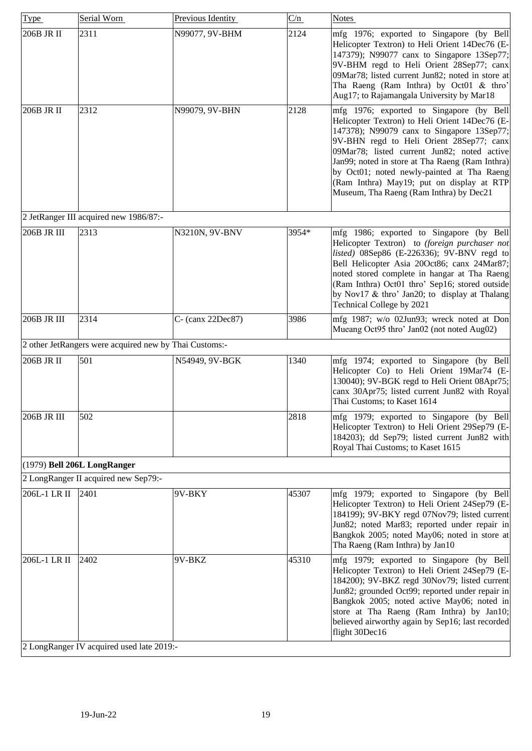<span id="page-18-0"></span>

| Type         | Serial Worn                                            | Previous Identity | C/n   | <b>Notes</b>                                                                                                                                                                                                                                                                                                                                                                                                                 |  |
|--------------|--------------------------------------------------------|-------------------|-------|------------------------------------------------------------------------------------------------------------------------------------------------------------------------------------------------------------------------------------------------------------------------------------------------------------------------------------------------------------------------------------------------------------------------------|--|
| 206B JR II   | 2311                                                   | N99077, 9V-BHM    | 2124  | mfg 1976; exported to Singapore (by Bell<br>Helicopter Textron) to Heli Orient 14Dec76 (E-<br>147379); N99077 canx to Singapore 13Sep77;<br>9V-BHM regd to Heli Orient 28Sep77; canx<br>09Mar78; listed current Jun82; noted in store at<br>Tha Raeng (Ram Inthra) by Oct01 & thro'<br>Aug17; to Rajamangala University by Mar18                                                                                             |  |
| 206B JR II   | 2312                                                   | N99079, 9V-BHN    | 2128  | mfg 1976; exported to Singapore (by Bell<br>Helicopter Textron) to Heli Orient 14Dec76 (E-<br>147378); N99079 canx to Singapore 13Sep77;<br>9V-BHN regd to Heli Orient 28Sep77; canx<br>09Mar78; listed current Jun82; noted active<br>Jan99; noted in store at Tha Raeng (Ram Inthra)<br>by Oct01; noted newly-painted at Tha Raeng<br>(Ram Inthra) May19; put on display at RTP<br>Museum, Tha Raeng (Ram Inthra) by Dec21 |  |
|              | 2 JetRanger III acquired new 1986/87:-                 |                   |       |                                                                                                                                                                                                                                                                                                                                                                                                                              |  |
| 206B JR III  | 2313                                                   | N3210N, 9V-BNV    | 3954* | mfg 1986; exported to Singapore (by Bell<br>Helicopter Textron) to (foreign purchaser not<br>listed) 08Sep86 (E-226336); 9V-BNV regd to<br>Bell Helicopter Asia 20Oct86; canx 24Mar87;<br>noted stored complete in hangar at Tha Raeng<br>(Ram Inthra) Oct01 thro' Sep16; stored outside<br>by Nov17 & thro' Jan20; to display at Thalang<br>Technical College by 2021                                                       |  |
| 206B JR III  | 2314                                                   | C- (canx 22Dec87) | 3986  | mfg 1987; w/o 02Jun93; wreck noted at Don<br>Mueang Oct95 thro' Jan02 (not noted Aug02)                                                                                                                                                                                                                                                                                                                                      |  |
|              | 2 other JetRangers were acquired new by Thai Customs:- |                   |       |                                                                                                                                                                                                                                                                                                                                                                                                                              |  |
| 206B JR II   | 501                                                    | N54949, 9V-BGK    | 1340  | mfg 1974; exported to Singapore (by Bell<br>Helicopter Co) to Heli Orient 19Mar74 (E-<br>130040); 9V-BGK regd to Heli Orient 08Apr75;<br>canx 30Apr75; listed current Jun82 with Royal<br>Thai Customs; to Kaset 1614                                                                                                                                                                                                        |  |
| 206B JR III  | 502                                                    |                   | 2818  | mfg 1979; exported to Singapore (by Bell<br>Helicopter Textron) to Heli Orient 29Sep79 (E-<br>184203); dd Sep79; listed current Jun82 with<br>Royal Thai Customs; to Kaset 1615                                                                                                                                                                                                                                              |  |
|              | (1979) Bell 206L LongRanger                            |                   |       |                                                                                                                                                                                                                                                                                                                                                                                                                              |  |
|              | 2 LongRanger II acquired new Sep79:-                   |                   |       |                                                                                                                                                                                                                                                                                                                                                                                                                              |  |
| 206L-1 LR II | 2401                                                   | 9V-BKY            | 45307 | mfg 1979; exported to Singapore (by Bell<br>Helicopter Textron) to Heli Orient 24Sep79 (E-<br>184199); 9V-BKY regd 07Nov79; listed current<br>Jun82; noted Mar83; reported under repair in<br>Bangkok 2005; noted May06; noted in store at<br>Tha Raeng (Ram Inthra) by Jan10                                                                                                                                                |  |
| 206L-1 LR II | 2402<br>2 LongRanger IV acquired used late 2019:-      | 9V-BKZ            | 45310 | mfg 1979; exported to Singapore (by Bell<br>Helicopter Textron) to Heli Orient 24Sep79 (E-<br>184200); 9V-BKZ regd 30Nov79; listed current<br>Jun82; grounded Oct99; reported under repair in<br>Bangkok 2005; noted active May06; noted in<br>store at Tha Raeng (Ram Inthra) by Jan10;<br>believed airworthy again by Sep16; last recorded<br>flight 30Dec16                                                               |  |
|              |                                                        |                   |       |                                                                                                                                                                                                                                                                                                                                                                                                                              |  |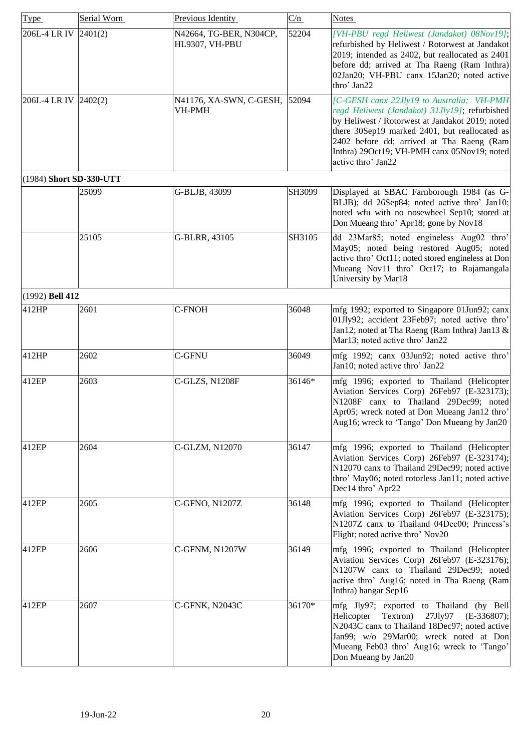<span id="page-19-1"></span><span id="page-19-0"></span>

| Type                    | Serial Worn | Previous Identity                         | C/n    | <b>Notes</b>                                                                                                                                                                                                                                                                                                      |
|-------------------------|-------------|-------------------------------------------|--------|-------------------------------------------------------------------------------------------------------------------------------------------------------------------------------------------------------------------------------------------------------------------------------------------------------------------|
| 206L-4 LR IV 2401(2)    |             | N42664, TG-BER, N304CP,<br>HL9307, VH-PBU | 52204  | [VH-PBU regd Heliwest (Jandakot) 08Nov19];<br>refurbished by Heliwest / Rotorwest at Jandakot<br>2019; intended as 2402, but reallocated as 2401<br>before dd; arrived at Tha Raeng (Ram Inthra)<br>02Jan20; VH-PBU canx 15Jan20; noted active<br>thro' Jan22                                                     |
| 206L-4 LR IV 2402(2)    |             | N41176, XA-SWN, C-GESH,<br>VH-PMH         | 52094  | [C-GESH canx 22Jly19 to Australia; VH-PMH<br>regd Heliwest (Jandakot) 31Jly19]; refurbished<br>by Heliwest / Rotorwest at Jandakot 2019; noted<br>there 30Sep19 marked 2401, but reallocated as<br>2402 before dd; arrived at Tha Raeng (Ram<br>Inthra) 29Oct19; VH-PMH canx 05Nov19; noted<br>active thro' Jan22 |
| (1984) Short SD-330-UTT |             |                                           |        |                                                                                                                                                                                                                                                                                                                   |
|                         | 25099       | G-BLJB, 43099                             | SH3099 | Displayed at SBAC Farnborough 1984 (as G-<br>BLJB); dd 26Sep84; noted active thro' Jan10;<br>noted wfu with no nosewheel Sep10; stored at<br>Don Mueang thro' Apr18; gone by Nov18                                                                                                                                |
|                         | 25105       | G-BLRR, 43105                             | SH3105 | dd 23Mar85; noted engineless Aug02 thro'<br>May05; noted being restored Aug05; noted<br>active thro' Oct11; noted stored engineless at Don<br>Mueang Nov11 thro' Oct17; to Rajamangala<br>University by Mar18                                                                                                     |
| (1992) Bell 412         |             |                                           |        |                                                                                                                                                                                                                                                                                                                   |
| 412HP                   | 2601        | C-FNOH                                    | 36048  | mfg 1992; exported to Singapore 01Jun92; canx<br>01Jly92; accident 23Feb97; noted active thro'<br>Jan12; noted at Tha Raeng (Ram Inthra) Jan13 &<br>Mar13; noted active thro' Jan22                                                                                                                               |
| 412HP                   | 2602        | <b>C-GFNU</b>                             | 36049  | mfg 1992; canx 03Jun92; noted active thro'<br>Jan10; noted active thro' Jan22                                                                                                                                                                                                                                     |
| 412EP                   | 2603        | <b>C-GLZS, N1208F</b>                     | 36146* | mfg 1996; exported to Thailand (Helicopter<br>Aviation Services Corp) 26Feb97 (E-323173);<br>N1208F canx to Thailand 29Dec99; noted<br>Apr05; wreck noted at Don Mueang Jan12 thro'<br>Aug16; wreck to 'Tango' Don Mueang by Jan20                                                                                |
| 412EP                   | 2604        | C-GLZM, N12070                            | 36147  | mfg 1996; exported to Thailand (Helicopter<br>Aviation Services Corp) 26Feb97 (E-323174);<br>N12070 canx to Thailand 29Dec99; noted active<br>thro' May06; noted rotorless Jan11; noted active<br>Dec14 thro' Apr22                                                                                               |
| 412EP                   | 2605        | C-GFNO, N1207Z                            | 36148  | mfg 1996; exported to Thailand (Helicopter<br>Aviation Services Corp) 26Feb97 (E-323175);<br>N1207Z canx to Thailand 04Dec00; Princess's<br>Flight; noted active thro' Nov20                                                                                                                                      |
| 412EP                   | 2606        | C-GFNM, N1207W                            | 36149  | mfg 1996; exported to Thailand (Helicopter<br>Aviation Services Corp) 26Feb97 (E-323176);<br>N1207W canx to Thailand 29Dec99; noted<br>active thro' Aug16; noted in Tha Raeng (Ram<br>Inthra) hangar Sep16                                                                                                        |
| 412EP                   | 2607        | C-GFNK, N2043C                            | 36170* | mfg Jly97; exported to Thailand (by Bell<br>Textron)<br>Helicopter<br>27Jly97<br>$(E-336807);$<br>N2043C canx to Thailand 18Dec97; noted active<br>Jan99; w/o 29Mar00; wreck noted at Don<br>Mueang Feb03 thro' Aug16; wreck to 'Tango'<br>Don Mueang by Jan20                                                    |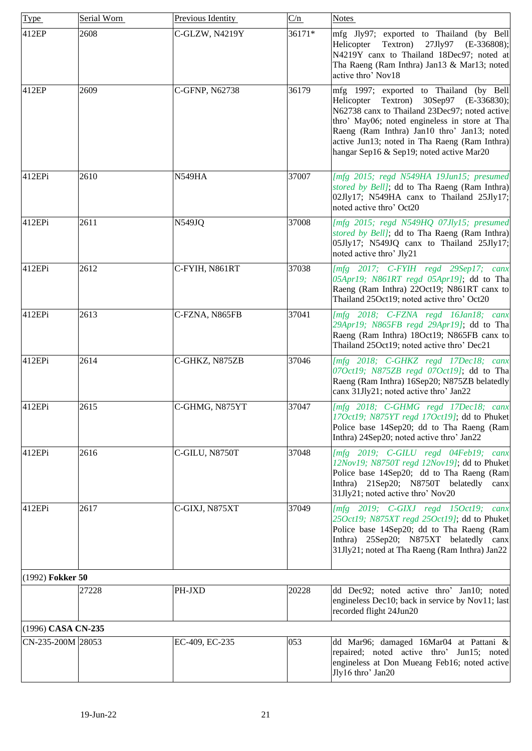<span id="page-20-1"></span><span id="page-20-0"></span>

| <b>Type</b>        | Serial Worn | Previous Identity | C/n    | <b>Notes</b>                                                                                                                                                                                                                                                                                                                           |
|--------------------|-------------|-------------------|--------|----------------------------------------------------------------------------------------------------------------------------------------------------------------------------------------------------------------------------------------------------------------------------------------------------------------------------------------|
| 412EP              | 2608        | C-GLZW, N4219Y    | 36171* | mfg Jly97; exported to Thailand (by Bell<br>27Jly97 (E-336808);<br>Helicopter Textron)<br>N4219Y canx to Thailand 18Dec97; noted at<br>Tha Raeng (Ram Inthra) Jan13 & Mar13; noted<br>active thro' Nov18                                                                                                                               |
| 412EP              | 2609        | C-GFNP, N62738    | 36179  | mfg 1997; exported to Thailand (by Bell<br>Textron)<br>30Sep97 (E-336830);<br>Helicopter<br>N62738 canx to Thailand 23Dec97; noted active<br>thro' May06; noted engineless in store at Tha<br>Raeng (Ram Inthra) Jan10 thro' Jan13; noted<br>active Jun13; noted in Tha Raeng (Ram Inthra)<br>hangar Sep16 & Sep19; noted active Mar20 |
| 412EPi             | 2610        | <b>N549HA</b>     | 37007  | [mfg 2015; regd N549HA 19Jun15; presumed<br>stored by Bell]; dd to Tha Raeng (Ram Inthra)<br>02Jly17; N549HA canx to Thailand 25Jly17;<br>noted active thro' Oct20                                                                                                                                                                     |
| 412EPi             | 2611        | N549JQ            | 37008  | [mfg 2015; regd N549HQ 07Jly15; presumed<br>stored by Bell]; dd to Tha Raeng (Ram Inthra)<br>05Jly17; N549JQ canx to Thailand 25Jly17;<br>noted active thro' Jly21                                                                                                                                                                     |
| 412EPi             | 2612        | C-FYIH, N861RT    | 37038  | $[mfg 2017; C-FYIH \text{regd} 29 Sep17; canx]$<br>05Apr19; N861RT regd 05Apr19]; dd to Tha<br>Raeng (Ram Inthra) 22Oct19; N861RT canx to<br>Thailand 25Oct19; noted active thro' Oct20                                                                                                                                                |
| 412EPi             | 2613        | C-FZNA, N865FB    | 37041  | [mfg 2018; C-FZNA regd 16Jan18; canx<br>29Apr19; N865FB regd 29Apr19]; dd to Tha<br>Raeng (Ram Inthra) 18Oct19; N865FB canx to<br>Thailand 25Oct19; noted active thro' Dec21                                                                                                                                                           |
| 412EPi             | 2614        | C-GHKZ, N875ZB    | 37046  | [mfg 2018; C-GHKZ regd 17Dec18; canx<br>07Oct19; N875ZB regd 07Oct19]; dd to Tha<br>Raeng (Ram Inthra) 16Sep20; N875ZB belatedly<br>canx 31Jly21; noted active thro' Jan22                                                                                                                                                             |
| 412EPi             | 2615        | C-GHMG, N875YT    | 37047  | [mfg 2018; C-GHMG regd 17Dec18; canx<br>17Oct19; N875YT regd 17Oct19]; dd to Phuket<br>Police base 14Sep20; dd to Tha Raeng (Ram<br>Inthra) 24Sep20; noted active thro' Jan22                                                                                                                                                          |
| 412EPi             | 2616        | C-GILU, N8750T    | 37048  | $[mfg 2019; C-GILU regd 04Feb19; canx]$<br>12Nov19; N8750T regd 12Nov19]; dd to Phuket<br>Police base 14Sep20; dd to Tha Raeng (Ram<br>Inthra) 21Sep20; N8750T belatedly canx<br>31Jly21; noted active thro' Nov20                                                                                                                     |
| 412EPi             | 2617        | C-GIXJ, N875XT    | 37049  | [ $mfg$ 2019; $C-GIXJ$ regd 15 $Oct19$ ; canx<br>25Oct19; N875XT regd 25Oct19]; dd to Phuket<br>Police base 14Sep20; dd to Tha Raeng (Ram<br>Inthra) 25Sep20; N875XT belatedly canx<br>31Jly21; noted at Tha Raeng (Ram Inthra) Jan22                                                                                                  |
| (1992) Fokker 50   |             |                   |        |                                                                                                                                                                                                                                                                                                                                        |
|                    | 27228       | PH-JXD            | 20228  | dd Dec92; noted active thro' Jan10; noted<br>engineless Dec10; back in service by Nov11; last<br>recorded flight 24Jun20                                                                                                                                                                                                               |
| (1996) CASA CN-235 |             |                   |        |                                                                                                                                                                                                                                                                                                                                        |
| CN-235-200M 28053  |             | EC-409, EC-235    | 053    | dd Mar96; damaged 16Mar04 at Pattani &<br>repaired; noted active thro' Jun15; noted<br>engineless at Don Mueang Feb16; noted active<br>Jly16 thro' Jan20                                                                                                                                                                               |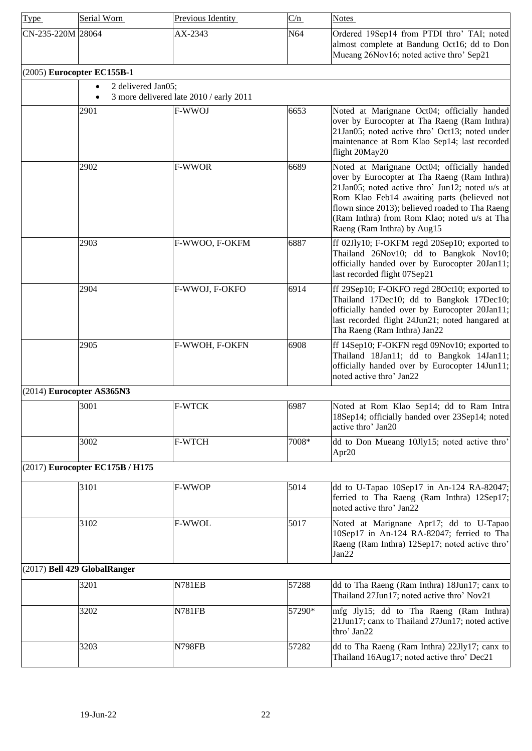<span id="page-21-3"></span><span id="page-21-2"></span><span id="page-21-1"></span><span id="page-21-0"></span>

| <b>Type</b>               | Serial Worn                     | Previous Identity                       | C/n    | <b>Notes</b>                                                                                                                                                                                                                                                                                                                    |
|---------------------------|---------------------------------|-----------------------------------------|--------|---------------------------------------------------------------------------------------------------------------------------------------------------------------------------------------------------------------------------------------------------------------------------------------------------------------------------------|
| CN-235-220M 28064         |                                 | AX-2343                                 | N64    | Ordered 19Sep14 from PTDI thro' TAI; noted<br>almost complete at Bandung Oct16; dd to Don<br>Mueang 26Nov16; noted active thro' Sep21                                                                                                                                                                                           |
|                           | (2005) Eurocopter EC155B-1      |                                         |        |                                                                                                                                                                                                                                                                                                                                 |
|                           | 2 delivered Jan05;<br>$\bullet$ | 3 more delivered late 2010 / early 2011 |        |                                                                                                                                                                                                                                                                                                                                 |
|                           | 2901                            | F-WWOJ                                  | 6653   | Noted at Marignane Oct04; officially handed<br>over by Eurocopter at Tha Raeng (Ram Inthra)<br>21Jan05; noted active thro' Oct13; noted under<br>maintenance at Rom Klao Sep14; last recorded<br>flight 20May20                                                                                                                 |
|                           | 2902                            | <b>F-WWOR</b>                           | 6689   | Noted at Marignane Oct04; officially handed<br>over by Eurocopter at Tha Raeng (Ram Inthra)<br>21Jan05; noted active thro' Jun12; noted u/s at<br>Rom Klao Feb14 awaiting parts (believed not<br>flown since 2013); believed roaded to Tha Raeng<br>(Ram Inthra) from Rom Klao; noted u/s at Tha<br>Raeng (Ram Inthra) by Aug15 |
|                           | 2903                            | F-WWOO, F-OKFM                          | 6887   | ff 02Jly10; F-OKFM regd 20Sep10; exported to<br>Thailand 26Nov10; dd to Bangkok Nov10;<br>officially handed over by Eurocopter 20Jan11;<br>last recorded flight 07Sep21                                                                                                                                                         |
|                           | 2904                            | F-WWOJ, F-OKFO                          | 6914   | ff 29Sep10; F-OKFO regd 28Oct10; exported to<br>Thailand 17Dec10; dd to Bangkok 17Dec10;<br>officially handed over by Eurocopter 20Jan11;<br>last recorded flight 24Jun21; noted hangared at<br>Tha Raeng (Ram Inthra) Jan22                                                                                                    |
|                           | 2905                            | F-WWOH, F-OKFN                          | 6908   | ff 14Sep10; F-OKFN regd 09Nov10; exported to<br>Thailand 18Jan11; dd to Bangkok 14Jan11;<br>officially handed over by Eurocopter 14Jun11;<br>noted active thro' Jan22                                                                                                                                                           |
| (2014) Eurocopter AS365N3 |                                 |                                         |        |                                                                                                                                                                                                                                                                                                                                 |
|                           | 3001                            | <b>F-WTCK</b>                           | 6987   | Noted at Rom Klao Sep14; dd to Ram Intra<br>18Sep14; officially handed over 23Sep14; noted<br>active thro' Jan20                                                                                                                                                                                                                |
|                           | 3002                            | <b>F-WTCH</b>                           | 7008*  | dd to Don Mueang 10Jly15; noted active thro'<br>Apr20                                                                                                                                                                                                                                                                           |
|                           | (2017) Eurocopter EC175B / H175 |                                         |        |                                                                                                                                                                                                                                                                                                                                 |
|                           | 3101                            | F-WWOP                                  | 5014   | dd to U-Tapao 10Sep17 in An-124 RA-82047;<br>ferried to Tha Raeng (Ram Inthra) 12Sep17;<br>noted active thro' Jan22                                                                                                                                                                                                             |
|                           | 3102                            | F-WWOL                                  | 5017   | Noted at Marignane Apr17; dd to U-Tapao<br>10Sep17 in An-124 RA-82047; ferried to Tha<br>Raeng (Ram Inthra) 12Sep17; noted active thro'<br>Jan22                                                                                                                                                                                |
|                           | (2017) Bell 429 GlobalRanger    |                                         |        |                                                                                                                                                                                                                                                                                                                                 |
|                           | 3201                            | <b>N781EB</b>                           | 57288  | dd to Tha Raeng (Ram Inthra) 18Jun17; canx to<br>Thailand 27Jun17; noted active thro' Nov21                                                                                                                                                                                                                                     |
|                           | 3202                            | <b>N781FB</b>                           | 57290* | mfg Jly15; dd to Tha Raeng (Ram Inthra)<br>21 Jun17; canx to Thailand 27 Jun17; noted active<br>thro' Jan22                                                                                                                                                                                                                     |
|                           | 3203                            | <b>N798FB</b>                           | 57282  | dd to Tha Raeng (Ram Inthra) 22Jly17; canx to<br>Thailand 16Aug17; noted active thro' Dec21                                                                                                                                                                                                                                     |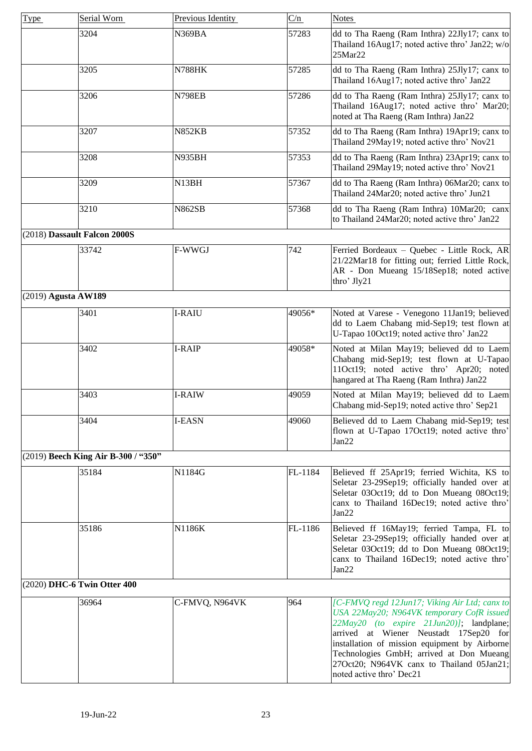<span id="page-22-3"></span><span id="page-22-2"></span><span id="page-22-1"></span><span id="page-22-0"></span>

| <b>Type</b> | Serial Worn                         | Previous Identity | C/n     | <b>Notes</b>                                                                                                                                                                                                                                                                                                                                           |
|-------------|-------------------------------------|-------------------|---------|--------------------------------------------------------------------------------------------------------------------------------------------------------------------------------------------------------------------------------------------------------------------------------------------------------------------------------------------------------|
|             | 3204                                | N369BA            | 57283   | dd to Tha Raeng (Ram Inthra) 22Jly17; canx to<br>Thailand 16Aug17; noted active thro' Jan22; w/o<br>25Mar22                                                                                                                                                                                                                                            |
|             | 3205                                | <b>N788HK</b>     | 57285   | dd to Tha Raeng (Ram Inthra) 25Jly17; canx to<br>Thailand 16Aug17; noted active thro' Jan22                                                                                                                                                                                                                                                            |
|             | 3206                                | <b>N798EB</b>     | 57286   | dd to Tha Raeng (Ram Inthra) 25Jly17; canx to<br>Thailand 16Aug17; noted active thro' Mar20;<br>noted at Tha Raeng (Ram Inthra) Jan22                                                                                                                                                                                                                  |
|             | 3207                                | <b>N852KB</b>     | 57352   | dd to Tha Raeng (Ram Inthra) 19Apr19; canx to<br>Thailand 29May19; noted active thro' Nov21                                                                                                                                                                                                                                                            |
|             | 3208                                | <b>N935BH</b>     | 57353   | dd to Tha Raeng (Ram Inthra) 23Apr19; canx to<br>Thailand 29May19; noted active thro' Nov21                                                                                                                                                                                                                                                            |
|             | 3209                                | N13BH             | 57367   | dd to Tha Raeng (Ram Inthra) 06Mar20; canx to<br>Thailand 24Mar20; noted active thro' Jun21                                                                                                                                                                                                                                                            |
|             | 3210                                | <b>N862SB</b>     | 57368   | dd to Tha Raeng (Ram Inthra) 10Mar20; canx<br>to Thailand 24Mar20; noted active thro' Jan22                                                                                                                                                                                                                                                            |
|             | (2018) Dassault Falcon 2000S        |                   |         |                                                                                                                                                                                                                                                                                                                                                        |
|             | 33742                               | F-WWGJ            | 742     | Ferried Bordeaux - Quebec - Little Rock, AR<br>21/22Mar18 for fitting out; ferried Little Rock,<br>AR - Don Mueang 15/18Sep18; noted active<br>thro' Jly21                                                                                                                                                                                             |
|             | $(2019)$ Agusta AW189               |                   |         |                                                                                                                                                                                                                                                                                                                                                        |
|             | 3401                                | I-RAIU            | 49056*  | Noted at Varese - Venegono 11Jan19; believed<br>dd to Laem Chabang mid-Sep19; test flown at<br>U-Tapao 10Oct19; noted active thro' Jan22                                                                                                                                                                                                               |
|             | 3402                                | I-RAIP            | 49058*  | Noted at Milan May19; believed dd to Laem<br>Chabang mid-Sep19; test flown at U-Tapao<br>11Oct19; noted active thro' Apr20; noted<br>hangared at Tha Raeng (Ram Inthra) Jan22                                                                                                                                                                          |
|             | 3403                                | I-RAIW            | 49059   | Noted at Milan May19; believed dd to Laem<br>Chabang mid-Sep19; noted active thro' Sep21                                                                                                                                                                                                                                                               |
|             | 3404                                | I-EASN            | 49060   | Believed dd to Laem Chabang mid-Sep19; test<br>flown at U-Tapao 17Oct19; noted active thro'<br>Jan22                                                                                                                                                                                                                                                   |
|             | (2019) Beech King Air B-300 / "350" |                   |         |                                                                                                                                                                                                                                                                                                                                                        |
|             | 35184                               | N1184G            | FL-1184 | Believed ff 25Apr19; ferried Wichita, KS to<br>Seletar 23-29Sep19; officially handed over at<br>Seletar 03Oct19; dd to Don Mueang 08Oct19;<br>canx to Thailand 16Dec19; noted active thro'<br>Jan22                                                                                                                                                    |
|             | 35186                               | N1186K            | FL-1186 | Believed ff 16May19; ferried Tampa, FL to<br>Seletar 23-29Sep19; officially handed over at<br>Seletar 03Oct19; dd to Don Mueang 08Oct19;<br>canx to Thailand 16Dec19; noted active thro'<br>Jan22                                                                                                                                                      |
|             | (2020) DHC-6 Twin Otter 400         |                   |         |                                                                                                                                                                                                                                                                                                                                                        |
|             | 36964                               | C-FMVQ, N964VK    | 964     | [C-FMVQ regd 12Jun17; Viking Air Ltd; canx to<br>USA 22May20; N964VK temporary CofR issued<br>22May20 (to expire 21Jun20)]; landplane;<br>arrived at Wiener Neustadt 17Sep20 for<br>installation of mission equipment by Airborne<br>Technologies GmbH; arrived at Don Mueang<br>27Oct20; N964VK canx to Thailand 05Jan21;<br>noted active thro' Dec21 |